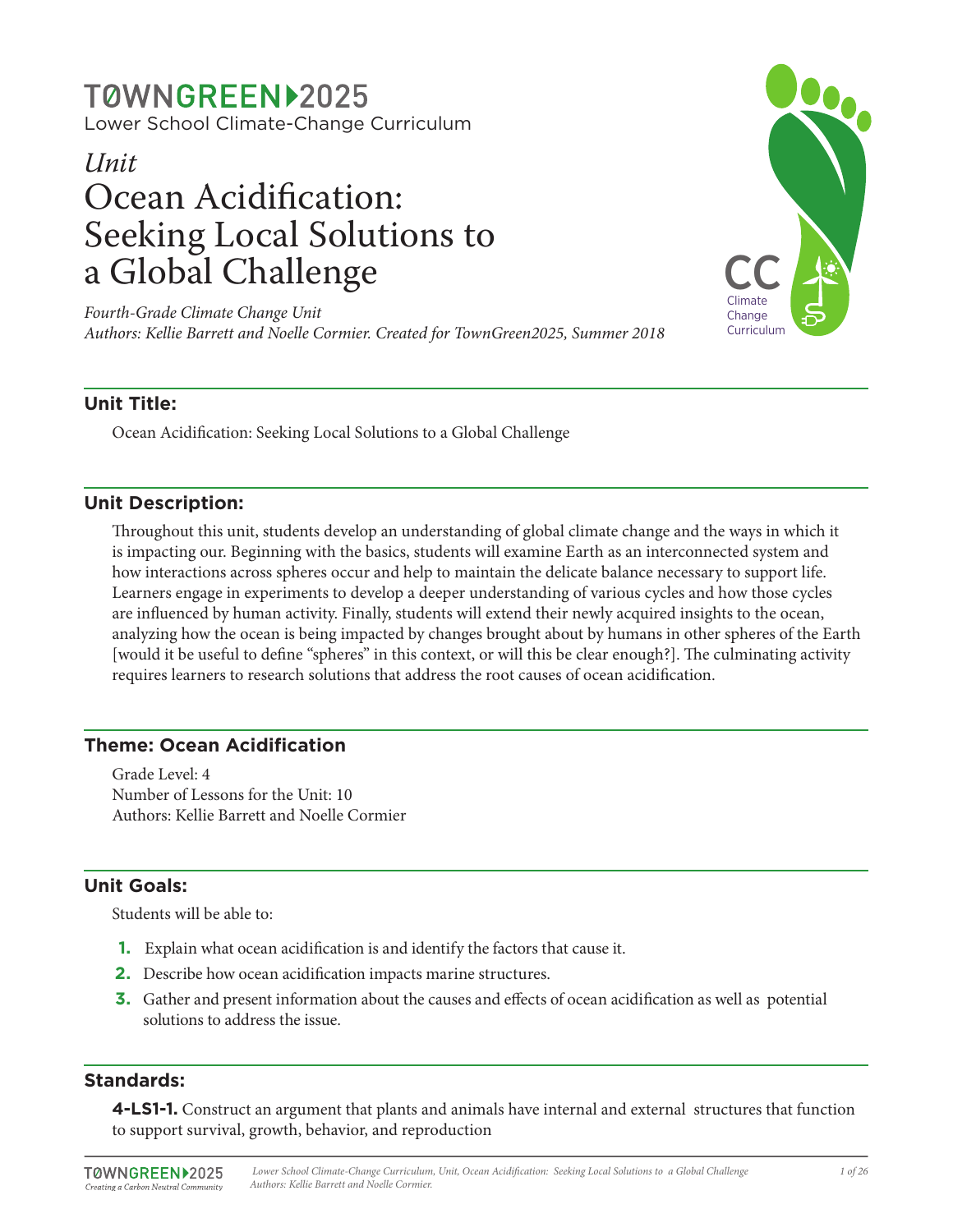# TØWNGREEN12025

Lower School Climate-Change Curriculum

## *Unit* Ocean Acidification: Seeking Local Solutions to a Global Challenge

*Fourth-Grade Climate Change Unit Authors: Kellie Barrett and Noelle Cormier. Created for TownGreen2025, Summer 2018*



## **Unit Title:**

Ocean Acidification: Seeking Local Solutions to a Global Challenge

## **Unit Description:**

Throughout this unit, students develop an understanding of global climate change and the ways in which it is impacting our. Beginning with the basics, students will examine Earth as an interconnected system and how interactions across spheres occur and help to maintain the delicate balance necessary to support life. Learners engage in experiments to develop a deeper understanding of various cycles and how those cycles are influenced by human activity. Finally, students will extend their newly acquired insights to the ocean, analyzing how the ocean is being impacted by changes brought about by humans in other spheres of the Earth [would it be useful to define "spheres" in this context, or will this be clear enough?]. The culminating activity requires learners to research solutions that address the root causes of ocean acidification.

## **Theme: Ocean Acidification**

Grade Level: 4 Number of Lessons for the Unit: 10 Authors: Kellie Barrett and Noelle Cormier

## **Unit Goals:**

Students will be able to:

- **1.** Explain what ocean acidification is and identify the factors that cause it.
- **2.** Describe how ocean acidification impacts marine structures.
- **3.** Gather and present information about the causes and effects of ocean acidification as well as potential solutions to address the issue.

## **Standards:**

**4-LS1-1.** Construct an argument that plants and animals have internal and external structures that function to support survival, growth, behavior, and reproduction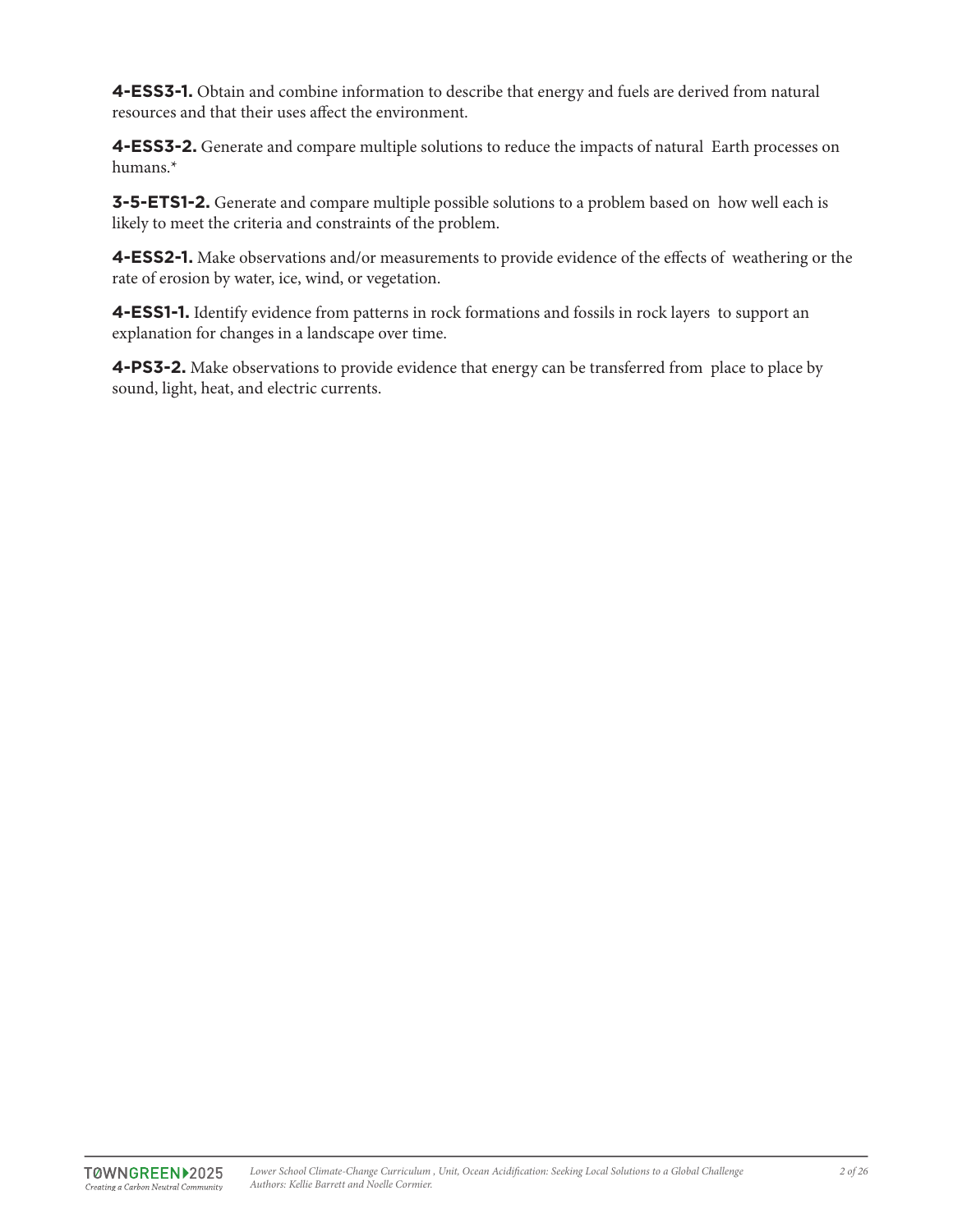**4-ESS3-1.** Obtain and combine information to describe that energy and fuels are derived from natural resources and that their uses affect the environment.

**4-ESS3-2.** Generate and compare multiple solutions to reduce the impacts of natural Earth processes on humans.\*

**3-5-ETS1-2.** Generate and compare multiple possible solutions to a problem based on how well each is likely to meet the criteria and constraints of the problem.

**4-ESS2-1.** Make observations and/or measurements to provide evidence of the effects of weathering or the rate of erosion by water, ice, wind, or vegetation.

**4-ESS1-1.** Identify evidence from patterns in rock formations and fossils in rock layers to support an explanation for changes in a landscape over time.

**4-PS3-2.** Make observations to provide evidence that energy can be transferred from place to place by sound, light, heat, and electric currents.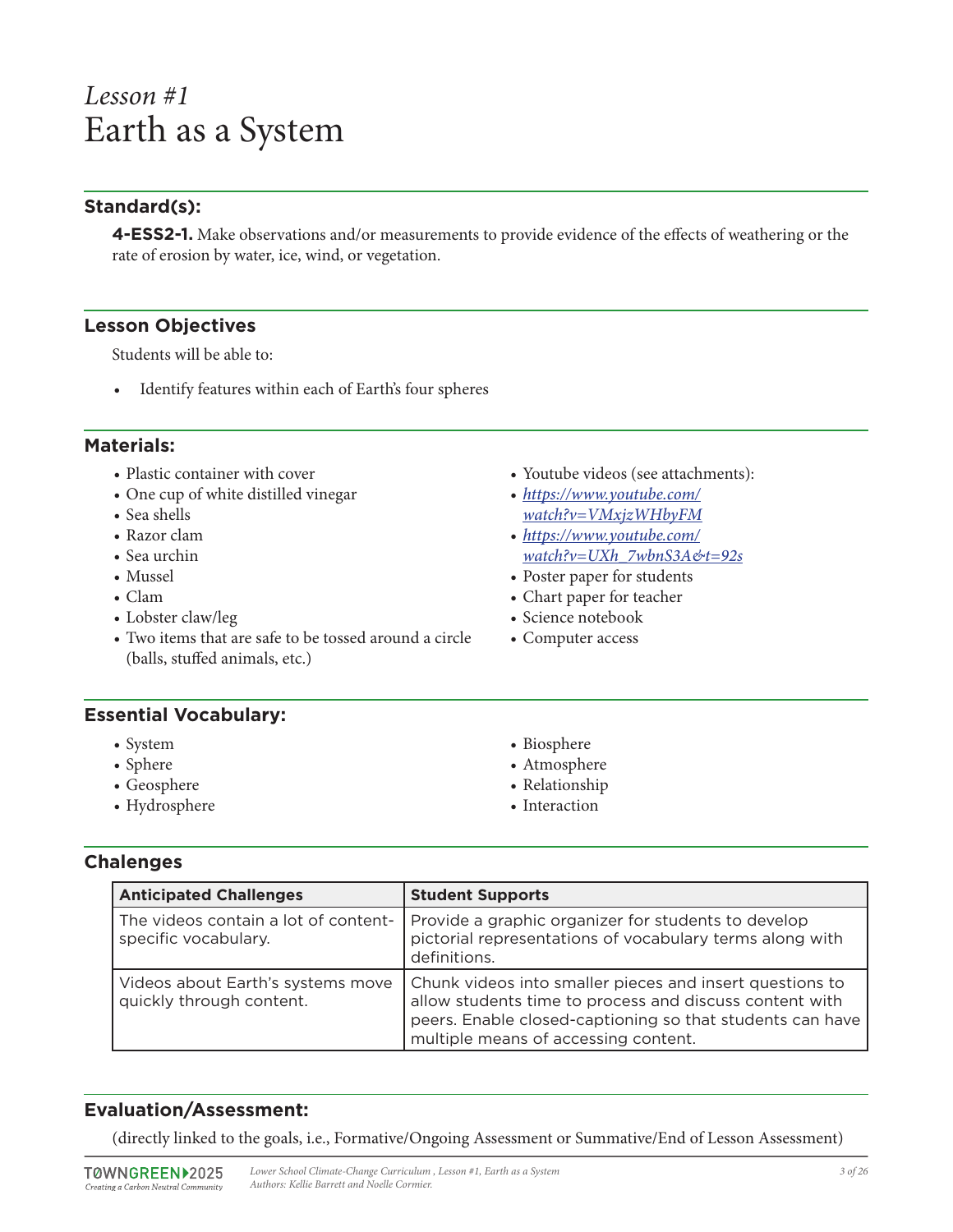## *Lesson #1* Earth as a System

## **Standard(s):**

**4-ESS2-1.** Make observations and/or measurements to provide evidence of the effects of weathering or the rate of erosion by water, ice, wind, or vegetation.

#### **Lesson Objectives**

Students will be able to:

• Identify features within each of Earth's four spheres

#### **Materials:**

- Plastic container with cover
- One cup of white distilled vinegar
- Sea shells
- Razor clam
- Sea urchin
- Mussel
- Clam
- Lobster claw/leg
- Two items that are safe to be tossed around a circle (balls, stuffed animals, etc.)
- Youtube videos (see attachments):
- *https://www.youtube.com/ watch?v=VMxjzWHbyFM*
- *https://www.youtube.com/ watch?v=UXh\_7wbnS3A&t=92s*
- Poster paper for students
- Chart paper for teacher
- Science notebook
- Computer access

#### **Essential Vocabulary:**

- System
- Sphere
- Geosphere
- Hydrosphere
- Biosphere
- Atmosphere
- Relationship
- Interaction

## **Chalenges**

| <b>Anticipated Challenges</b>                                 | <b>Student Supports</b>                                                                                                                                                                                                  |
|---------------------------------------------------------------|--------------------------------------------------------------------------------------------------------------------------------------------------------------------------------------------------------------------------|
| The videos contain a lot of content-<br>specific vocabulary.  | Provide a graphic organizer for students to develop<br>pictorial representations of vocabulary terms along with<br>definitions.                                                                                          |
| Videos about Earth's systems move<br>quickly through content. | Chunk videos into smaller pieces and insert questions to<br>allow students time to process and discuss content with<br>peers. Enable closed-captioning so that students can have<br>multiple means of accessing content. |

## **Evaluation/Assessment:**

(directly linked to the goals, i.e., Formative/Ongoing Assessment or Summative/End of Lesson Assessment)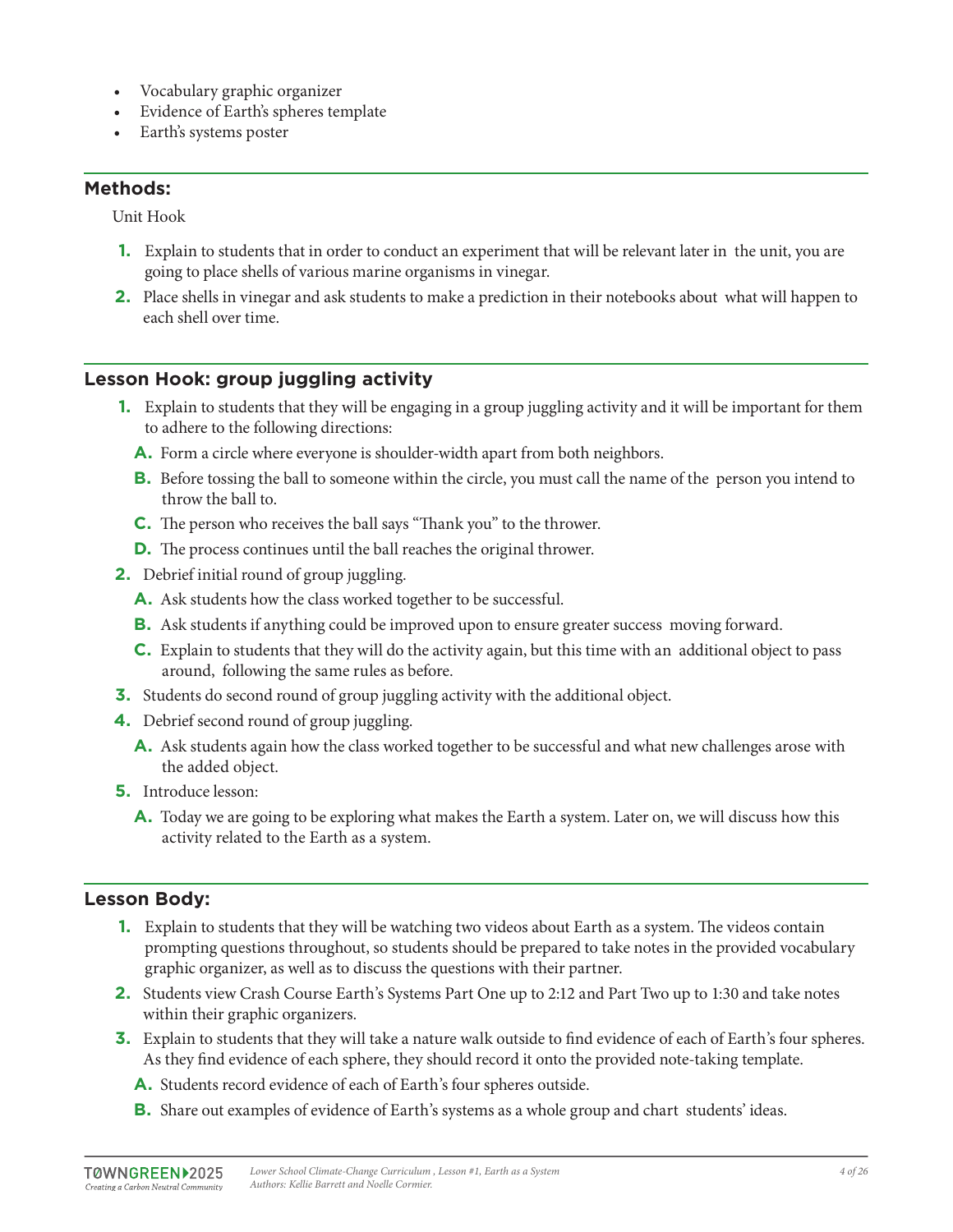- Vocabulary graphic organizer
- Evidence of Earth's spheres template
- Earth's systems poster

Unit Hook

- **1.** Explain to students that in order to conduct an experiment that will be relevant later in the unit, you are going to place shells of various marine organisms in vinegar.
- **2.** Place shells in vinegar and ask students to make a prediction in their notebooks about what will happen to each shell over time.

## **Lesson Hook: group juggling activity**

- **1.** Explain to students that they will be engaging in a group juggling activity and it will be important for them to adhere to the following directions:
	- **A.** Form a circle where everyone is shoulder-width apart from both neighbors.
	- **B.** Before tossing the ball to someone within the circle, you must call the name of the person you intend to throw the ball to.
	- **C.** The person who receives the ball says "Thank you" to the thrower.
	- **D.** The process continues until the ball reaches the original thrower.
- **2.** Debrief initial round of group juggling.
	- **A.** Ask students how the class worked together to be successful.
	- **B.** Ask students if anything could be improved upon to ensure greater success moving forward.
	- **C.** Explain to students that they will do the activity again, but this time with an additional object to pass around, following the same rules as before.
- **3.** Students do second round of group juggling activity with the additional object.
- **4.** Debrief second round of group juggling.
	- **A.** Ask students again how the class worked together to be successful and what new challenges arose with the added object.
- **5.** Introduce lesson:
	- **A.** Today we are going to be exploring what makes the Earth a system. Later on, we will discuss how this activity related to the Earth as a system.

## **Lesson Body:**

- **1.** Explain to students that they will be watching two videos about Earth as a system. The videos contain prompting questions throughout, so students should be prepared to take notes in the provided vocabulary graphic organizer, as well as to discuss the questions with their partner.
- **2.** Students view Crash Course Earth's Systems Part One up to 2:12 and Part Two up to 1:30 and take notes within their graphic organizers.
- **3.** Explain to students that they will take a nature walk outside to find evidence of each of Earth's four spheres. As they find evidence of each sphere, they should record it onto the provided note-taking template.
	- **A.** Students record evidence of each of Earth's four spheres outside.
	- **B.** Share out examples of evidence of Earth's systems as a whole group and chart students' ideas.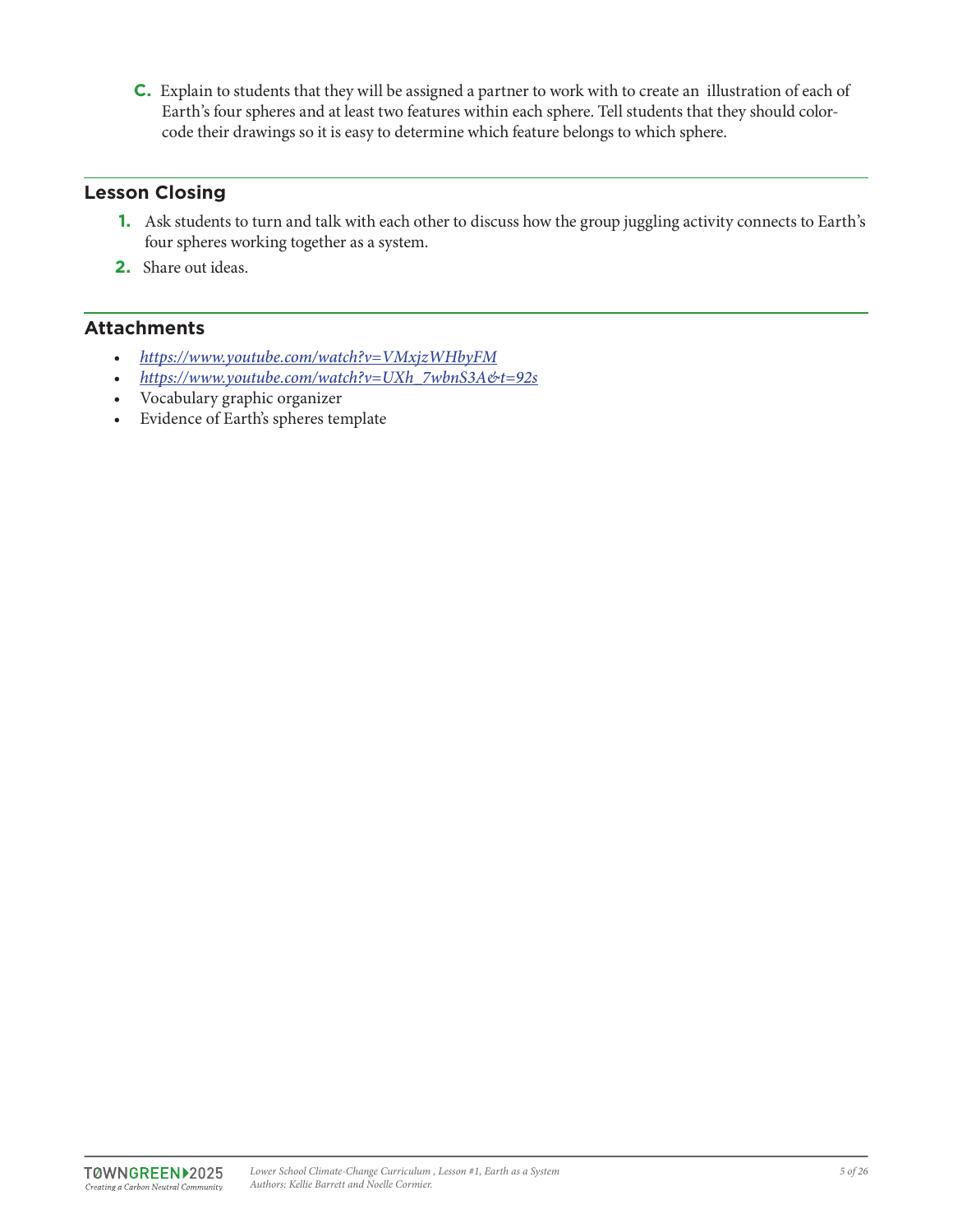**C.** Explain to students that they will be assigned a partner to work with to create an illustration of each of Earth's four spheres and at least two features within each sphere. Tell students that they should colorcode their drawings so it is easy to determine which feature belongs to which sphere.

## **Lesson Closing**

- **1.** Ask students to turn and talk with each other to discuss how the group juggling activity connects to Earth's four spheres working together as a system.
- **2.** Share out ideas.

## **Attachments**

- *https://www.youtube.com/watch?v=VMxjzWHbyFM*
- *https://www.youtube.com/watch?v=UXh\_7wbnS3A&t=92s*
- Vocabulary graphic organizer
- Evidence of Earth's spheres template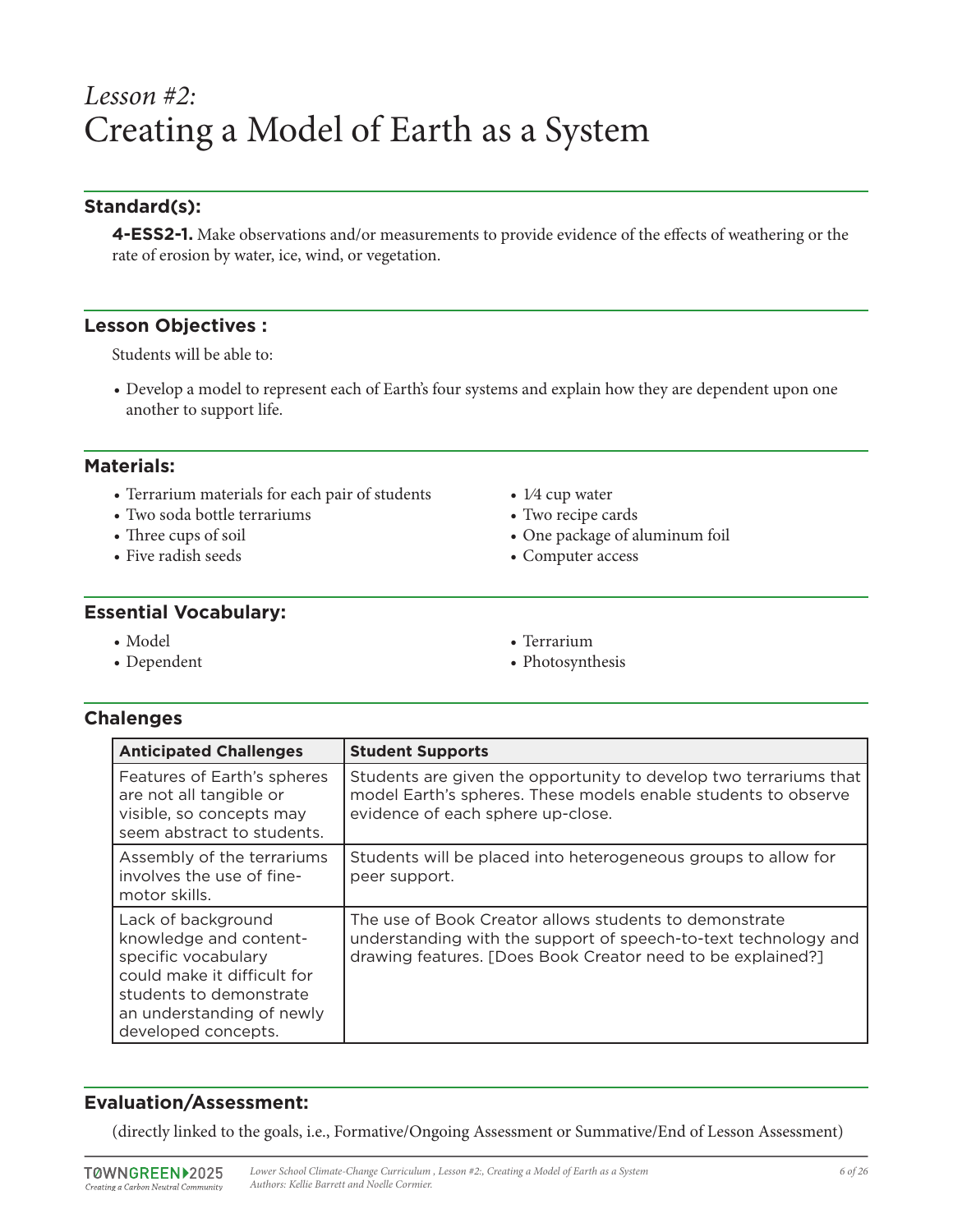## *Lesson #2:* Creating a Model of Earth as a System

## **Standard(s):**

**4-ESS2-1.** Make observations and/or measurements to provide evidence of the effects of weathering or the rate of erosion by water, ice, wind, or vegetation.

#### **Lesson Objectives :**

Students will be able to:

• Develop a model to represent each of Earth's four systems and explain how they are dependent upon one another to support life.

#### **Materials:**

- Terrarium materials for each pair of students
- Two soda bottle terrariums
- Three cups of soil
- Five radish seeds
- 1⁄4 cup water
- Two recipe cards
- One package of aluminum foil
- Computer access

#### **Essential Vocabulary:**

- Model
- Dependent
- Terrarium
- Photosynthesis

## **Chalenges**

| <b>Anticipated Challenges</b>                                                                                                                                                     | <b>Student Supports</b>                                                                                                                                                                  |
|-----------------------------------------------------------------------------------------------------------------------------------------------------------------------------------|------------------------------------------------------------------------------------------------------------------------------------------------------------------------------------------|
| Features of Earth's spheres<br>are not all tangible or<br>visible, so concepts may<br>seem abstract to students.                                                                  | Students are given the opportunity to develop two terrariums that<br>model Earth's spheres. These models enable students to observe<br>evidence of each sphere up-close.                 |
| Assembly of the terrariums<br>involves the use of fine-<br>motor skills.                                                                                                          | Students will be placed into heterogeneous groups to allow for<br>peer support.                                                                                                          |
| Lack of background<br>knowledge and content-<br>specific vocabulary<br>could make it difficult for<br>students to demonstrate<br>an understanding of newly<br>developed concepts. | The use of Book Creator allows students to demonstrate<br>understanding with the support of speech-to-text technology and<br>drawing features. [Does Book Creator need to be explained?] |

## **Evaluation/Assessment:**

(directly linked to the goals, i.e., Formative/Ongoing Assessment or Summative/End of Lesson Assessment)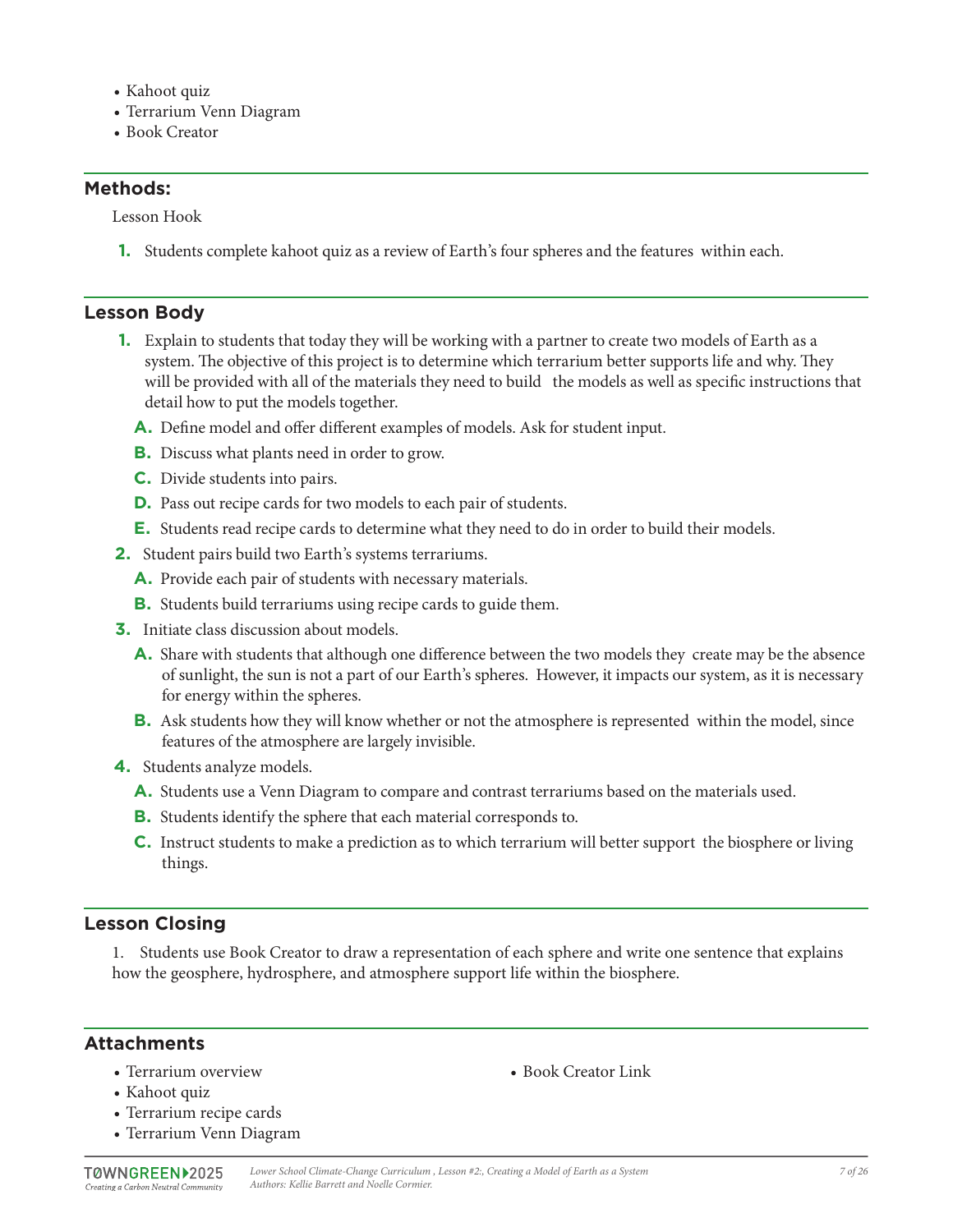- Kahoot quiz
- Terrarium Venn Diagram
- Book Creator

Lesson Hook

**1.** Students complete kahoot quiz as a review of Earth's four spheres and the features within each.

#### **Lesson Body**

- **1.** Explain to students that today they will be working with a partner to create two models of Earth as a system. The objective of this project is to determine which terrarium better supports life and why. They will be provided with all of the materials they need to build the models as well as specific instructions that detail how to put the models together.
	- **A.** Define model and offer different examples of models. Ask for student input.
	- **B.** Discuss what plants need in order to grow.
	- **C.** Divide students into pairs.
	- **D.** Pass out recipe cards for two models to each pair of students.
	- **E.** Students read recipe cards to determine what they need to do in order to build their models.
- **2.** Student pairs build two Earth's systems terrariums.
	- **A.** Provide each pair of students with necessary materials.
	- **B.** Students build terrariums using recipe cards to guide them.
- **3.** Initiate class discussion about models.
	- **A.** Share with students that although one difference between the two models they create may be the absence of sunlight, the sun is not a part of our Earth's spheres. However, it impacts our system, as it is necessary for energy within the spheres.
	- **B.** Ask students how they will know whether or not the atmosphere is represented within the model, since features of the atmosphere are largely invisible.
- **4.** Students analyze models.
	- **A.** Students use a Venn Diagram to compare and contrast terrariums based on the materials used.
	- **B.** Students identify the sphere that each material corresponds to.
	- **C.** Instruct students to make a prediction as to which terrarium will better support the biosphere or living things.

## **Lesson Closing**

1. Students use Book Creator to draw a representation of each sphere and write one sentence that explains how the geosphere, hydrosphere, and atmosphere support life within the biosphere.

#### **Attachments**

• Terrarium overview

• Book Creator Link

- Kahoot quiz
- Terrarium recipe cards
- Terrarium Venn Diagram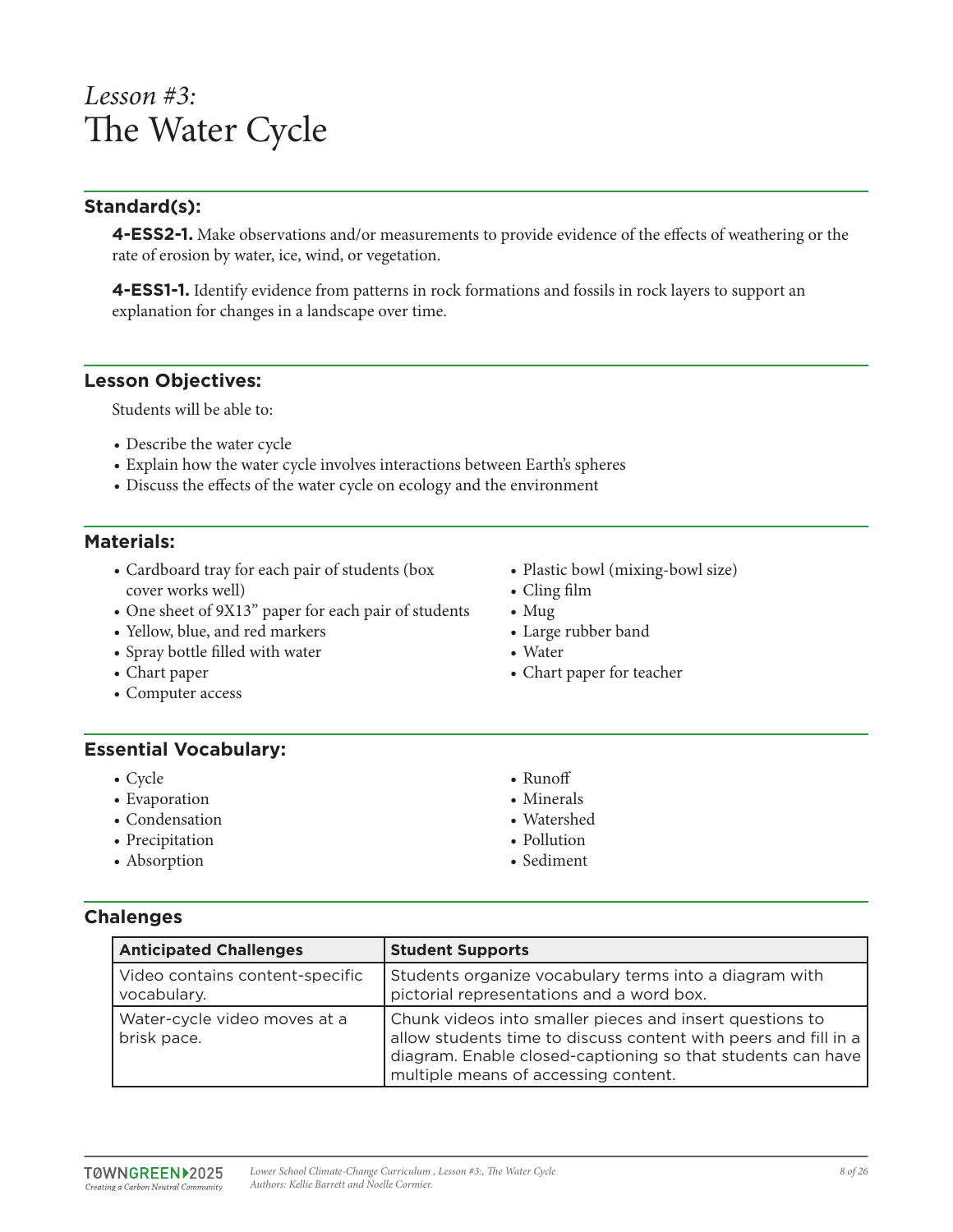## *Lesson #3:* The Water Cycle

## **Standard(s):**

**4-ESS2-1.** Make observations and/or measurements to provide evidence of the effects of weathering or the rate of erosion by water, ice, wind, or vegetation.

**4-ESS1-1.** Identify evidence from patterns in rock formations and fossils in rock layers to support an explanation for changes in a landscape over time.

#### **Lesson Objectives:**

Students will be able to:

- Describe the water cycle
- Explain how the water cycle involves interactions between Earth's spheres
- Discuss the effects of the water cycle on ecology and the environment

#### **Materials:**

- Cardboard tray for each pair of students (box cover works well)
- One sheet of 9X13" paper for each pair of students
- Yellow, blue, and red markers
- Spray bottle filled with water
- Chart paper
- Computer access

### **Essential Vocabulary:**

- Cycle
- Evaporation
- Condensation
- Precipitation
- Absorption

• Cling film • Mug

• Water

• Large rubber band

• Chart paper for teacher

• Plastic bowl (mixing-bowl size)

- Runoff • Minerals
- Watershed
- Pollution
- Sediment

**Chalenges**

| <b>Anticipated Challenges</b>                  | <b>Student Supports</b>                                                                                                                                                                                                            |
|------------------------------------------------|------------------------------------------------------------------------------------------------------------------------------------------------------------------------------------------------------------------------------------|
| Video contains content-specific<br>vocabulary. | Students organize vocabulary terms into a diagram with<br>pictorial representations and a word box.                                                                                                                                |
| Water-cycle video moves at a<br>brisk pace.    | Chunk videos into smaller pieces and insert questions to<br>allow students time to discuss content with peers and fill in a<br>diagram. Enable closed-captioning so that students can have<br>multiple means of accessing content. |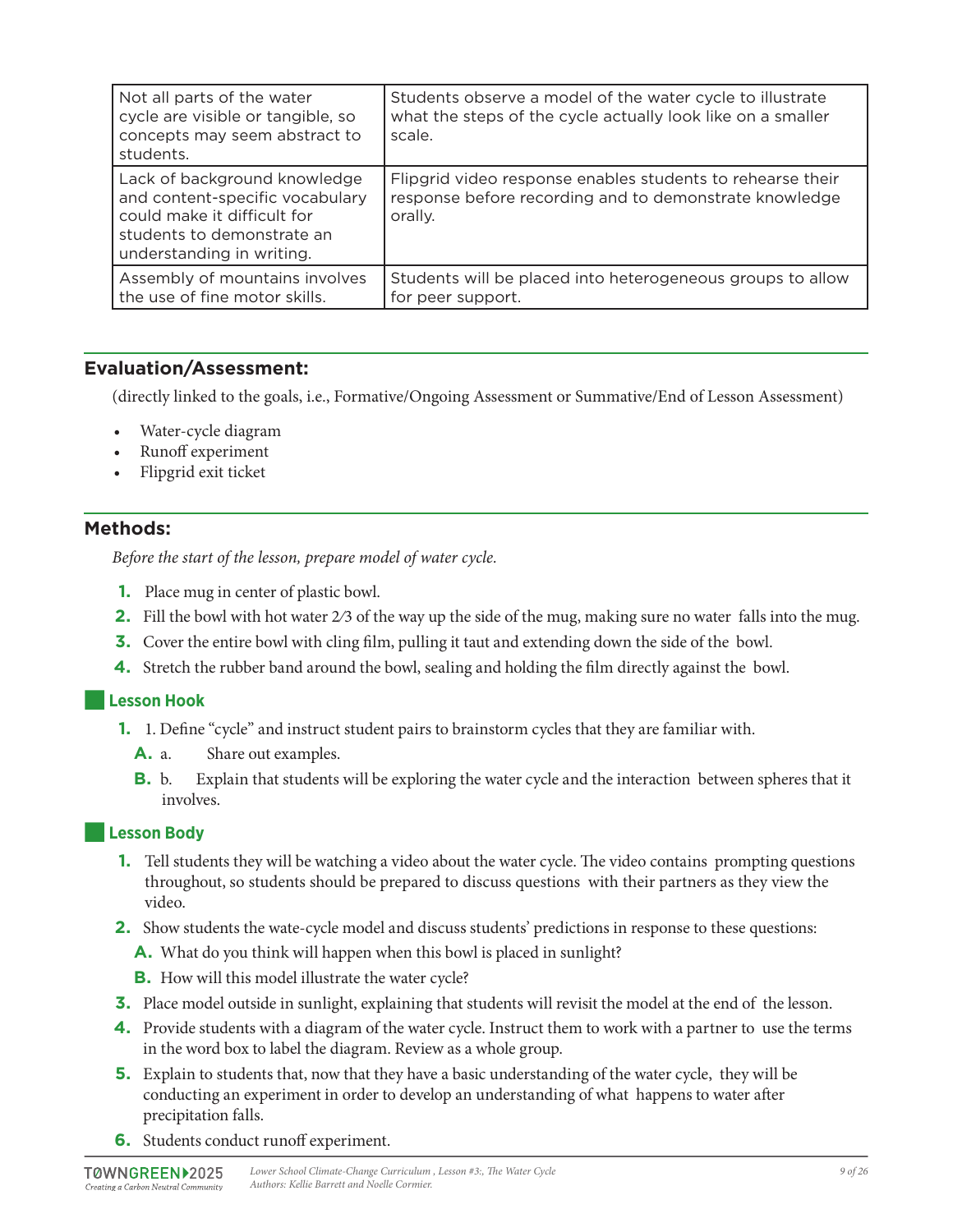| Not all parts of the water<br>cycle are visible or tangible, so<br>concepts may seem abstract to<br>students.                                             | Students observe a model of the water cycle to illustrate<br>what the steps of the cycle actually look like on a smaller<br>scale. |
|-----------------------------------------------------------------------------------------------------------------------------------------------------------|------------------------------------------------------------------------------------------------------------------------------------|
| Lack of background knowledge<br>and content-specific vocabulary<br>could make it difficult for<br>students to demonstrate an<br>understanding in writing. | Flipgrid video response enables students to rehearse their<br>response before recording and to demonstrate knowledge<br>orally.    |
| Assembly of mountains involves<br>the use of fine motor skills.                                                                                           | Students will be placed into heterogeneous groups to allow<br>for peer support.                                                    |

## **Evaluation/Assessment:**

(directly linked to the goals, i.e., Formative/Ongoing Assessment or Summative/End of Lesson Assessment)

- Water-cycle diagram
- Runoff experiment
- Flipgrid exit ticket

#### **Methods:**

*Before the start of the lesson, prepare model of water cycle.*

- **1.** Place mug in center of plastic bowl.
- **2.** Fill the bowl with hot water 2⁄3 of the way up the side of the mug, making sure no water falls into the mug.
- **3.** Cover the entire bowl with cling film, pulling it taut and extending down the side of the bowl.
- **4.** Stretch the rubber band around the bowl, sealing and holding the film directly against the bowl.

#### ■**Lesson Hook**

- **1.** 1. Define "cycle" and instruct student pairs to brainstorm cycles that they are familiar with.
	- **A.** a. Share out examples.
	- **B.** b. Explain that students will be exploring the water cycle and the interaction between spheres that it involves.

#### ■**Lesson Body**

- **1.** Tell students they will be watching a video about the water cycle. The video contains prompting questions throughout, so students should be prepared to discuss questions with their partners as they view the video.
- **2.** Show students the wate-cycle model and discuss students' predictions in response to these questions:
	- **A.** What do you think will happen when this bowl is placed in sunlight?
	- **B.** How will this model illustrate the water cycle?
- **3.** Place model outside in sunlight, explaining that students will revisit the model at the end of the lesson.
- **4.** Provide students with a diagram of the water cycle. Instruct them to work with a partner to use the terms in the word box to label the diagram. Review as a whole group.
- **5.** Explain to students that, now that they have a basic understanding of the water cycle, they will be conducting an experiment in order to develop an understanding of what happens to water after precipitation falls.
- **6.** Students conduct runoff experiment.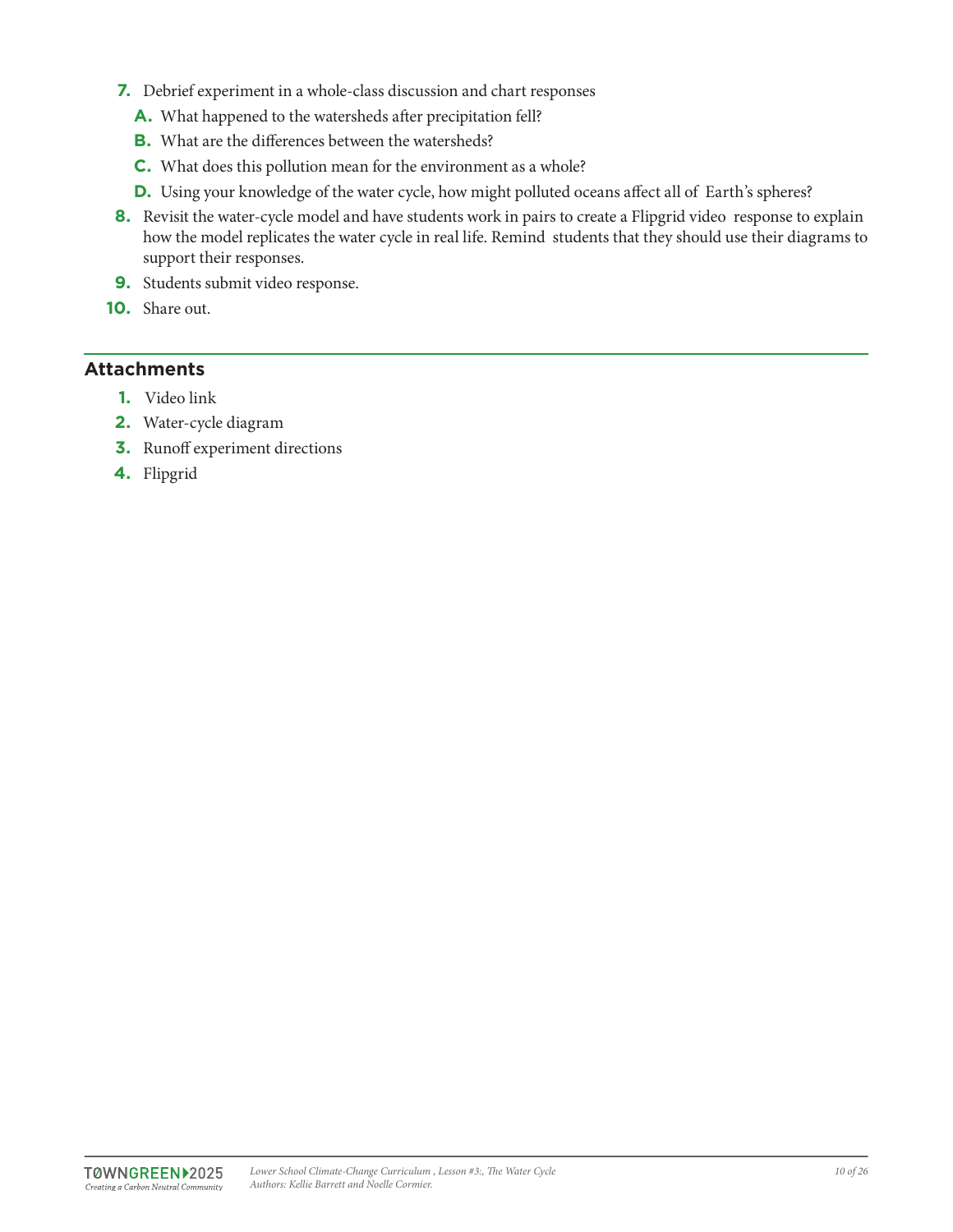- **7.** Debrief experiment in a whole-class discussion and chart responses
	- **A.** What happened to the watersheds after precipitation fell?
	- **B.** What are the differences between the watersheds?
	- **C.** What does this pollution mean for the environment as a whole?
	- **D.** Using your knowledge of the water cycle, how might polluted oceans affect all of Earth's spheres?
- **8.** Revisit the water-cycle model and have students work in pairs to create a Flipgrid video response to explain how the model replicates the water cycle in real life. Remind students that they should use their diagrams to support their responses.
- **9.** Students submit video response.
- **10.** Share out.

## **Attachments**

- **1.** Video link
- **2.** Water-cycle diagram
- **3.** Runoff experiment directions
- **4.** Flipgrid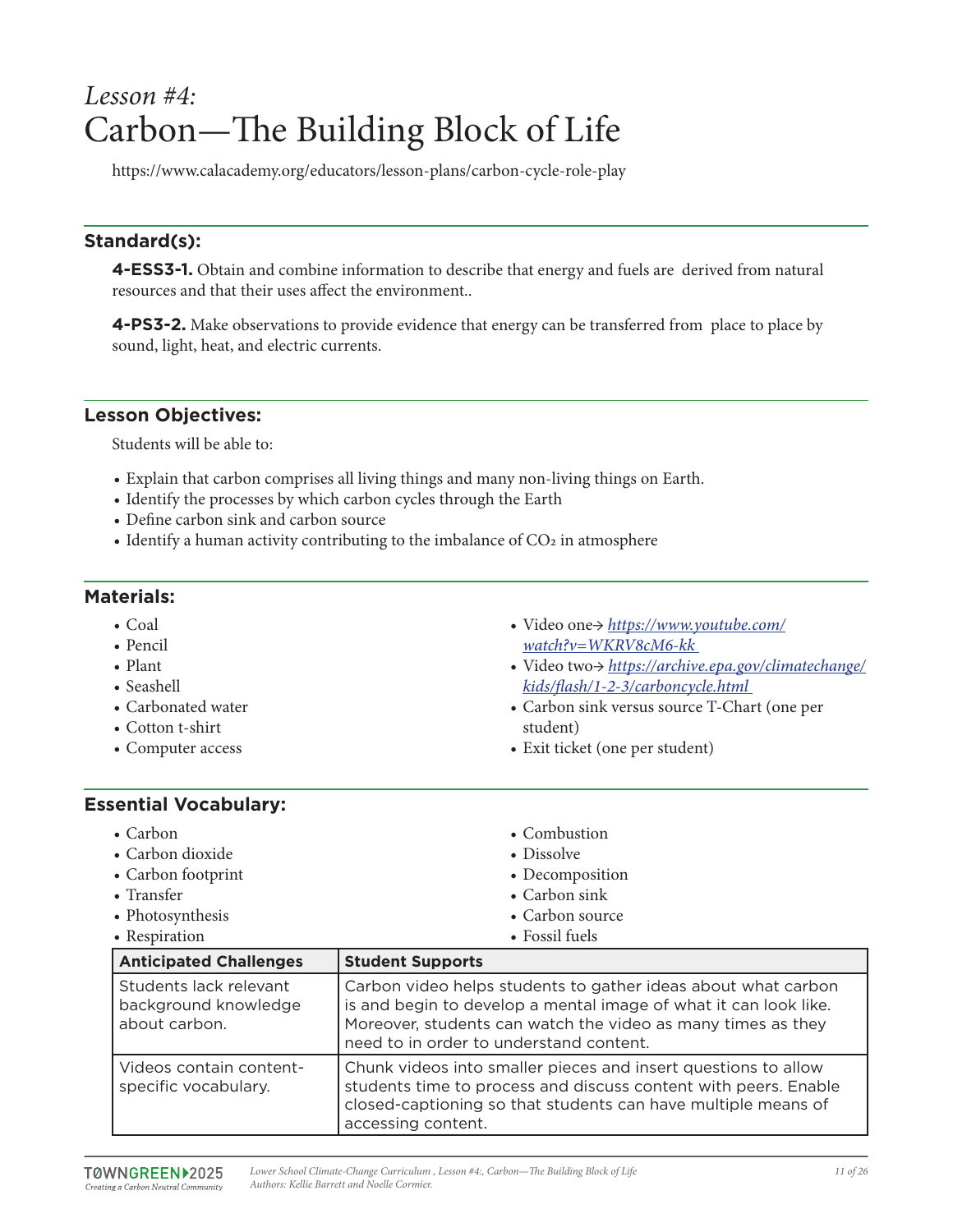## *Lesson #4:* Carbon—The Building Block of Life

https://www.calacademy.org/educators/lesson-plans/carbon-cycle-role-play

## **Standard(s):**

**4-ESS3-1.** Obtain and combine information to describe that energy and fuels are derived from natural resources and that their uses affect the environment..

**4-PS3-2.** Make observations to provide evidence that energy can be transferred from place to place by sound, light, heat, and electric currents.

#### **Lesson Objectives:**

Students will be able to:

- Explain that carbon comprises all living things and many non-living things on Earth.
- Identify the processes by which carbon cycles through the Earth
- Define carbon sink and carbon source
- $\bullet$  Identify a human activity contributing to the imbalance of CO<sub>2</sub> in atmosphere

## **Materials:**

- Coal
- Pencil
- Plant
- Seashell
- Carbonated water
- Cotton t-shirt
- Computer access
- Video one→ *https://www.youtube.com/ watch?v=WKRV8cM6-kk*
- Video two→ *https://archive.epa.gov/climatechange/ kids/flash/1-2-3/carboncycle.html*
- Carbon sink versus source T-Chart (one per student)
- Exit ticket (one per student)

## **Essential Vocabulary:**

| • Carbon           | • Combustion    |
|--------------------|-----------------|
| • Carbon dioxide   | • Dissolve      |
| • Carbon footprint | • Decomposition |
| • Transfer         | • Carbon sink   |
| • Photosynthesis   | • Carbon source |
| • Respiration      | • Fossil fuels  |

| <b>Anticipated Challenges</b>                                   | <b>Student Supports</b>                                                                                                                                                                                                                      |
|-----------------------------------------------------------------|----------------------------------------------------------------------------------------------------------------------------------------------------------------------------------------------------------------------------------------------|
| Students lack relevant<br>background knowledge<br>about carbon. | Carbon video helps students to gather ideas about what carbon<br>is and begin to develop a mental image of what it can look like.<br>Moreover, students can watch the video as many times as they<br>need to in order to understand content. |
| Videos contain content-<br>specific vocabulary.                 | Chunk videos into smaller pieces and insert questions to allow<br>students time to process and discuss content with peers. Enable<br>closed-captioning so that students can have multiple means of<br>accessing content.                     |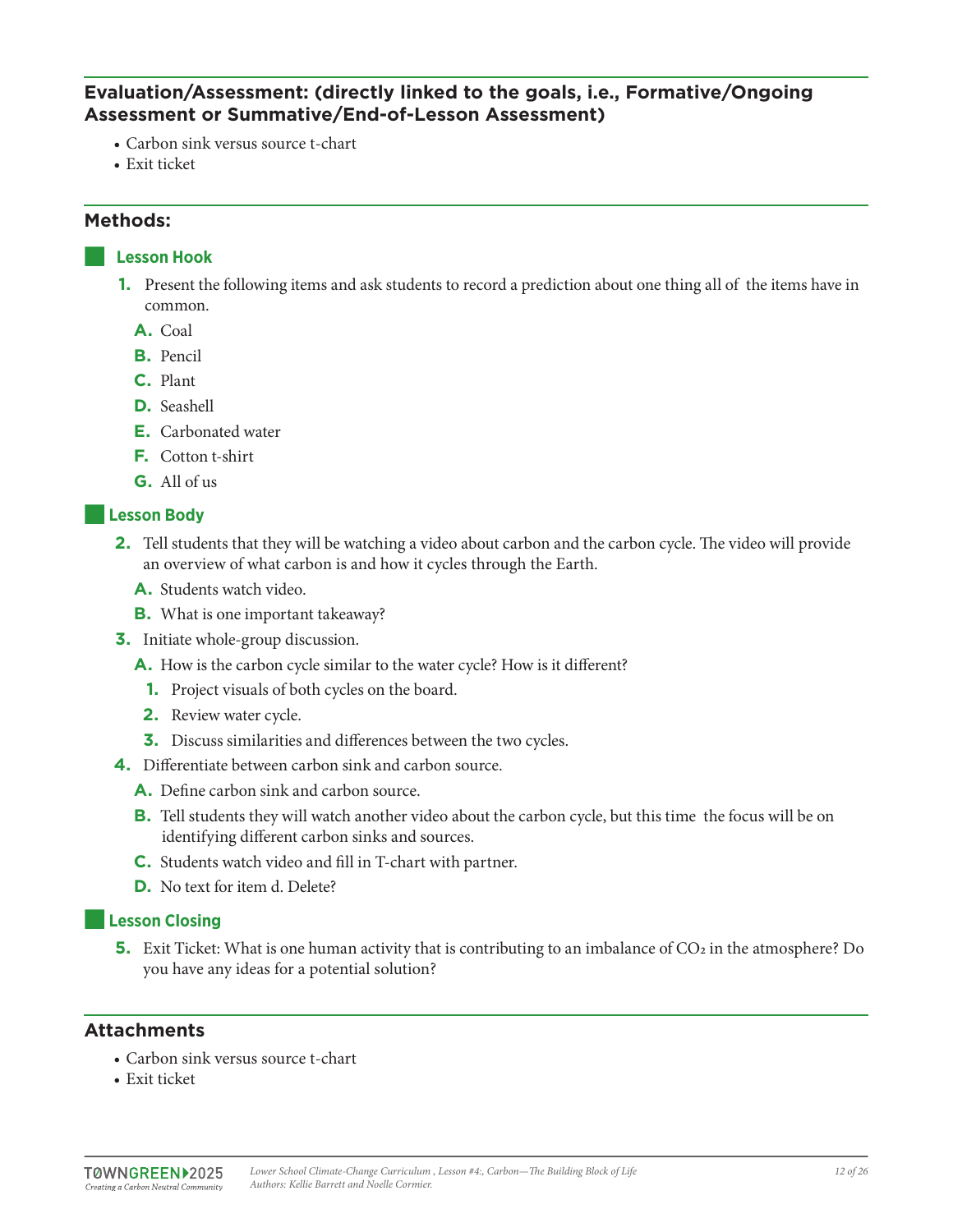## **Evaluation/Assessment: (directly linked to the goals, i.e., Formative/Ongoing Assessment or Summative/End-of-Lesson Assessment)**

- Carbon sink versus source t-chart
- Exit ticket

#### **Methods:**

#### ■ **Lesson Hook**

- **1.** Present the following items and ask students to record a prediction about one thing all of the items have in common.
	- **A.** Coal
	- **B.** Pencil
	- **C.** Plant
	- **D.** Seashell
	- **E.** Carbonated water
	- **F.** Cotton t-shirt
	- **G.** All of us

#### ■**Lesson Body**

- **2.** Tell students that they will be watching a video about carbon and the carbon cycle. The video will provide an overview of what carbon is and how it cycles through the Earth.
	- **A.** Students watch video.
	- **B.** What is one important takeaway?
- **3.** Initiate whole-group discussion.
	- **A.** How is the carbon cycle similar to the water cycle? How is it different?
	- **1.** Project visuals of both cycles on the board.
	- **2.** Review water cycle.
	- **3.** Discuss similarities and differences between the two cycles.
- **4.** Differentiate between carbon sink and carbon source.
	- **A.** Define carbon sink and carbon source.
	- **B.** Tell students they will watch another video about the carbon cycle, but this time the focus will be on identifying different carbon sinks and sources.
	- **C.** Students watch video and fill in T-chart with partner.
	- **D.** No text for item d. Delete?

## ■**Lesson Closing**

**5.** Exit Ticket: What is one human activity that is contributing to an imbalance of CO<sub>2</sub> in the atmosphere? Do you have any ideas for a potential solution?

## **Attachments**

- Carbon sink versus source t-chart
- Exit ticket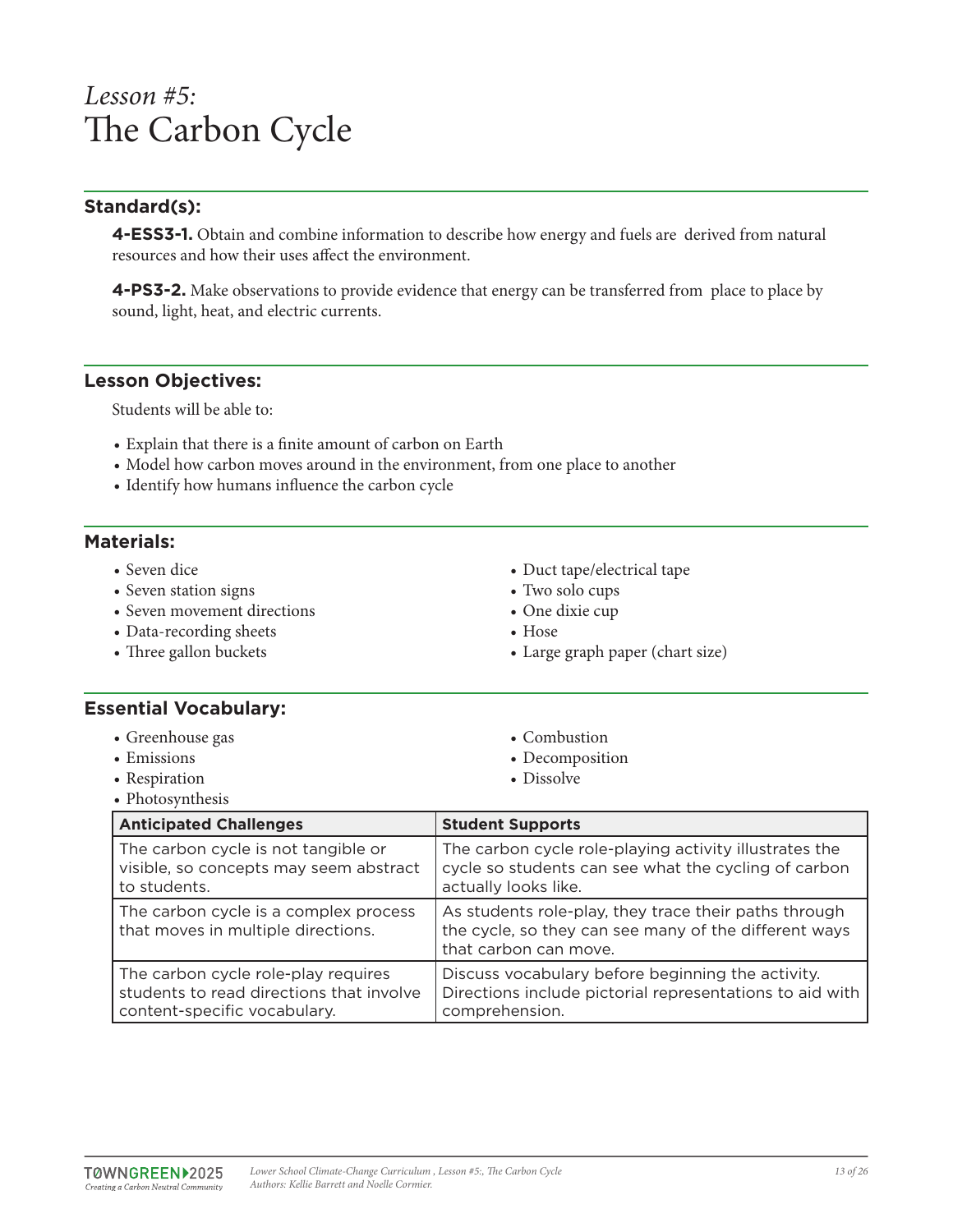## *Lesson #5:* The Carbon Cycle

## **Standard(s):**

**4-ESS3-1.** Obtain and combine information to describe how energy and fuels are derived from natural resources and how their uses affect the environment.

**4-PS3-2.** Make observations to provide evidence that energy can be transferred from place to place by sound, light, heat, and electric currents.

#### **Lesson Objectives:**

Students will be able to:

- Explain that there is a finite amount of carbon on Earth
- Model how carbon moves around in the environment, from one place to another
- Identify how humans influence the carbon cycle

#### **Materials:**

- Seven dice
- Seven station signs
- Seven movement directions
- Data-recording sheets
- Three gallon buckets
- Duct tape/electrical tape
- Two solo cups
- One dixie cup

• Combustion • Decomposition • Dissolve

- Hose
- Large graph paper (chart size)

#### **Essential Vocabulary:**

- Greenhouse gas
- Emissions
- Respiration
- Photosynthesis

| <b>Anticipated Challenges</b>                                               | <b>Student Supports</b>                                                                                                                 |
|-----------------------------------------------------------------------------|-----------------------------------------------------------------------------------------------------------------------------------------|
| The carbon cycle is not tangible or                                         | The carbon cycle role-playing activity illustrates the                                                                                  |
| visible, so concepts may seem abstract                                      | cycle so students can see what the cycling of carbon                                                                                    |
| to students.                                                                | actually looks like.                                                                                                                    |
| The carbon cycle is a complex process<br>that moves in multiple directions. | As students role-play, they trace their paths through<br>the cycle, so they can see many of the different ways<br>that carbon can move. |
| The carbon cycle role-play requires                                         | Discuss vocabulary before beginning the activity.                                                                                       |
| students to read directions that involve                                    | Directions include pictorial representations to aid with                                                                                |
| content-specific vocabulary.                                                | comprehension.                                                                                                                          |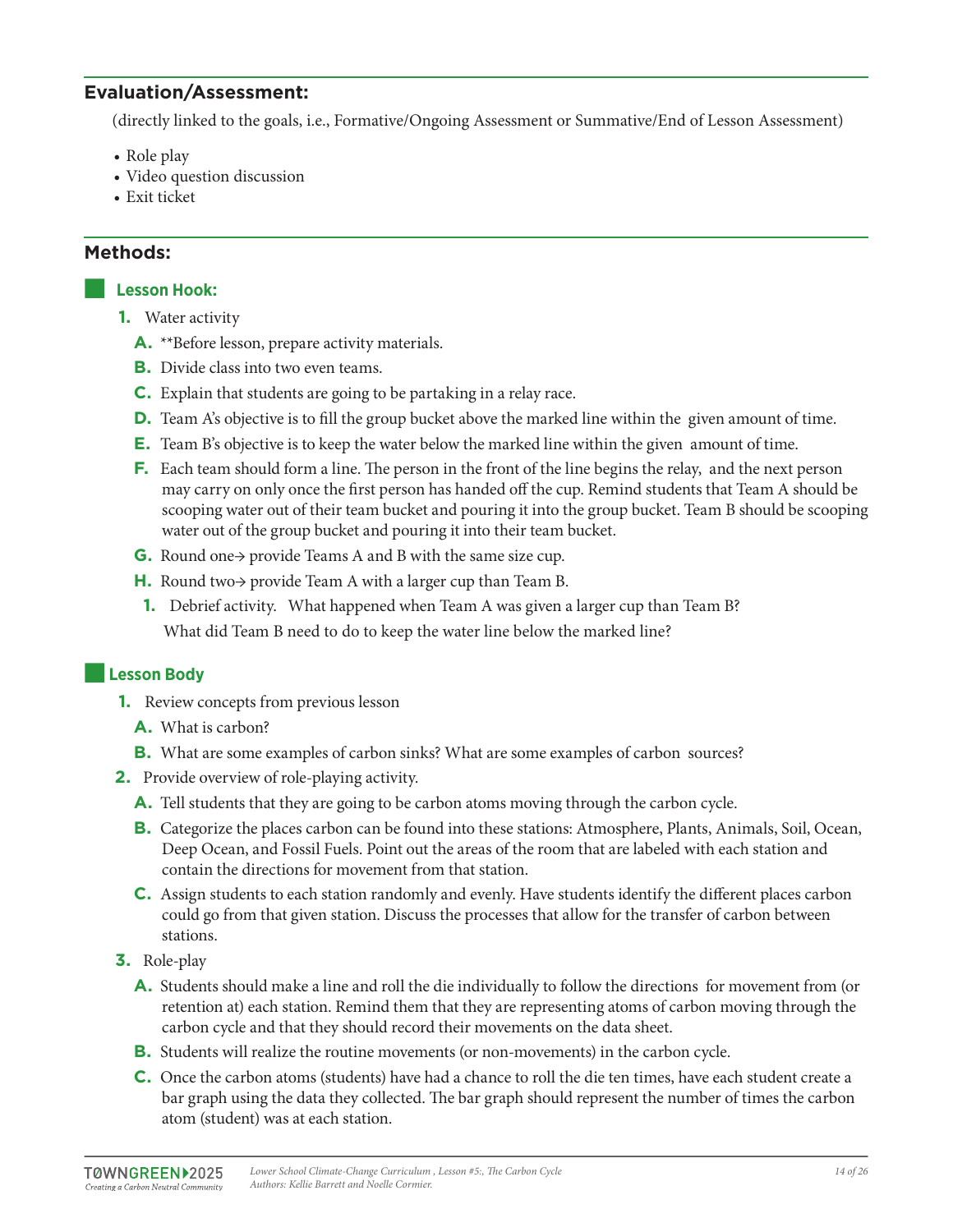## **Evaluation/Assessment:**

(directly linked to the goals, i.e., Formative/Ongoing Assessment or Summative/End of Lesson Assessment)

- Role play
- Video question discussion
- Exit ticket

#### **Methods:**

#### ■ **Lesson Hook:**

- **1.** Water activity
	- **A.** \*\*Before lesson, prepare activity materials.
	- **B.** Divide class into two even teams.
	- **C.** Explain that students are going to be partaking in a relay race.
	- **D.** Team A's objective is to fill the group bucket above the marked line within the given amount of time.
	- **E.** Team B's objective is to keep the water below the marked line within the given amount of time.
	- **F.** Each team should form a line. The person in the front of the line begins the relay, and the next person may carry on only once the first person has handed off the cup. Remind students that Team A should be scooping water out of their team bucket and pouring it into the group bucket. Team B should be scooping water out of the group bucket and pouring it into their team bucket.
	- **G.** Round one→ provide Teams A and B with the same size cup.
	- **H.** Round two→ provide Team A with a larger cup than Team B.
	- **1.** Debrief activity. What happened when Team A was given a larger cup than Team B? What did Team B need to do to keep the water line below the marked line?

#### **Lesson Body**

- **1.** Review concepts from previous lesson
	- **A.** What is carbon?
	- **B.** What are some examples of carbon sinks? What are some examples of carbon sources?
- **2.** Provide overview of role-playing activity.
	- **A.** Tell students that they are going to be carbon atoms moving through the carbon cycle.
	- **B.** Categorize the places carbon can be found into these stations: Atmosphere, Plants, Animals, Soil, Ocean, Deep Ocean, and Fossil Fuels. Point out the areas of the room that are labeled with each station and contain the directions for movement from that station.
	- **C.** Assign students to each station randomly and evenly. Have students identify the different places carbon could go from that given station. Discuss the processes that allow for the transfer of carbon between stations.
- **3.** Role-play
	- **A.** Students should make a line and roll the die individually to follow the directions for movement from (or retention at) each station. Remind them that they are representing atoms of carbon moving through the carbon cycle and that they should record their movements on the data sheet.
	- **B.** Students will realize the routine movements (or non-movements) in the carbon cycle.
	- **C.** Once the carbon atoms (students) have had a chance to roll the die ten times, have each student create a bar graph using the data they collected. The bar graph should represent the number of times the carbon atom (student) was at each station.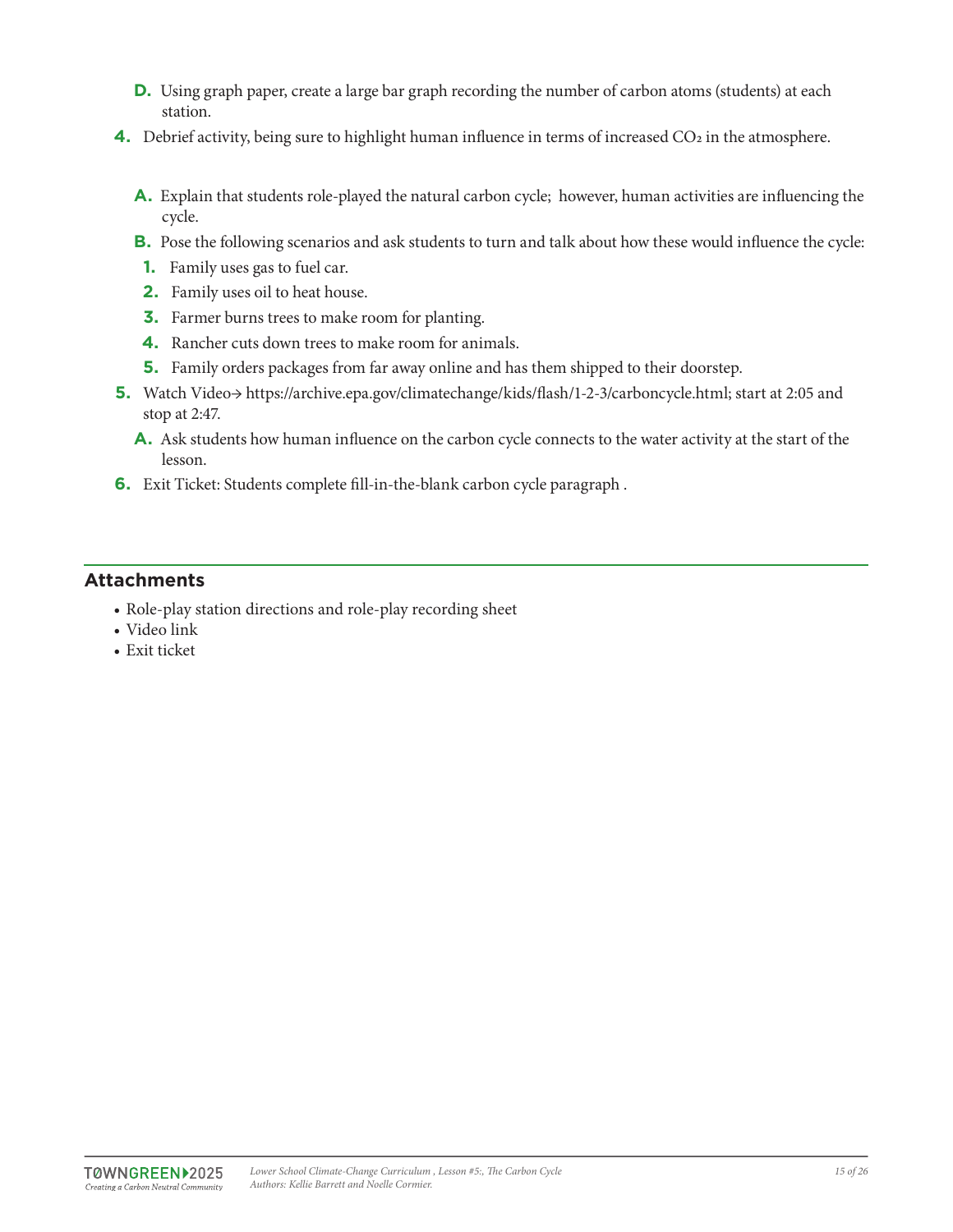- **D.** Using graph paper, create a large bar graph recording the number of carbon atoms (students) at each station.
- **4.** Debrief activity, being sure to highlight human influence in terms of increased CO<sub>2</sub> in the atmosphere.
	- **A.** Explain that students role-played the natural carbon cycle; however, human activities are influencing the cycle.
	- **B.** Pose the following scenarios and ask students to turn and talk about how these would influence the cycle:
	- **1.** Family uses gas to fuel car.
	- **2.** Family uses oil to heat house.
	- **3.** Farmer burns trees to make room for planting.
	- **4.** Rancher cuts down trees to make room for animals.
	- **5.** Family orders packages from far away online and has them shipped to their doorstep.
- **5.** Watch Video→ https://archive.epa.gov/climatechange/kids/flash/1-2-3/carboncycle.html; start at 2:05 and stop at 2:47.
	- **A.** Ask students how human influence on the carbon cycle connects to the water activity at the start of the lesson.
- **6.** Exit Ticket: Students complete fill-in-the-blank carbon cycle paragraph .

## **Attachments**

- Role-play station directions and role-play recording sheet
- Video link
- Exit ticket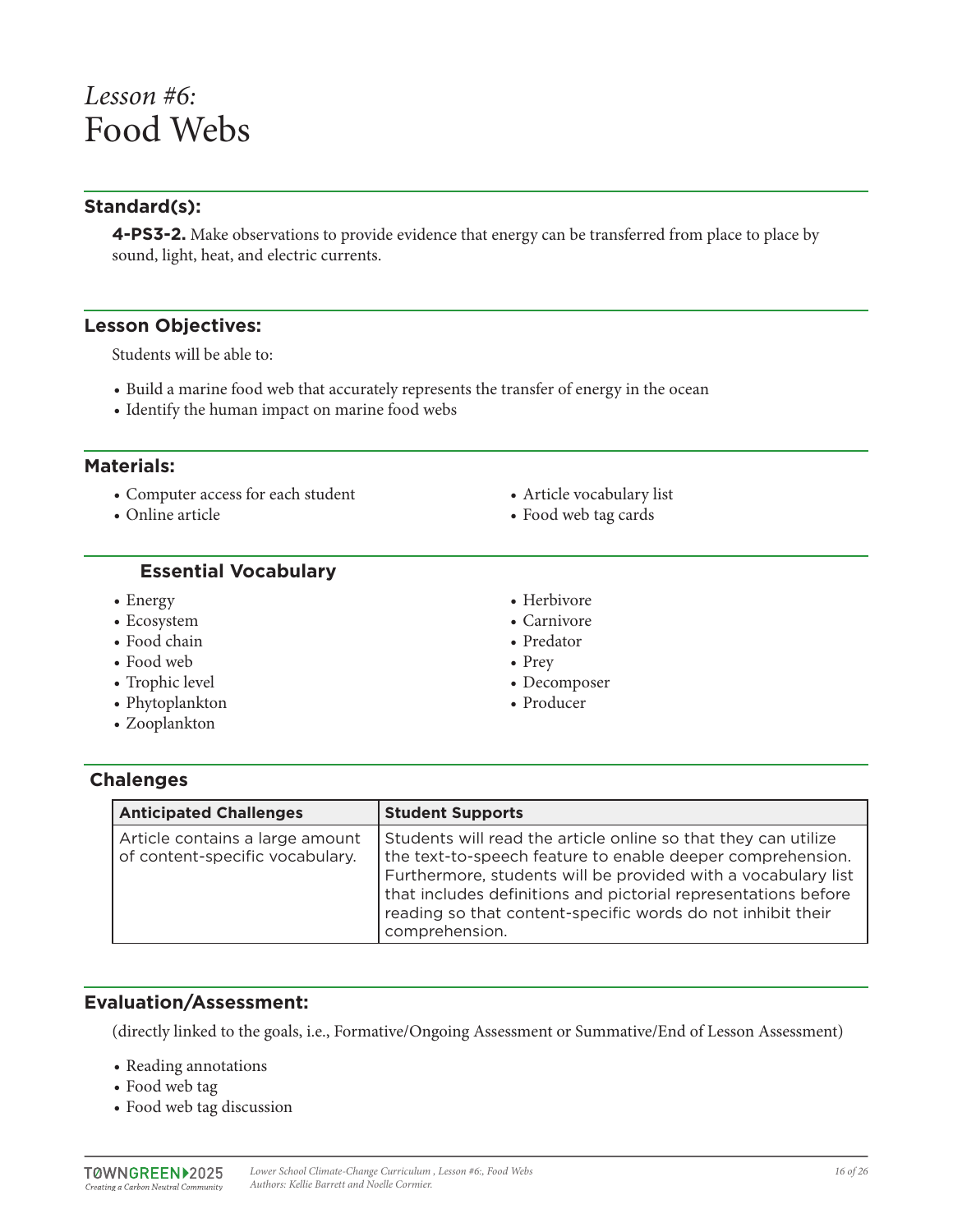## *Lesson #6:* Food Webs

## **Standard(s):**

**4-PS3-2.** Make observations to provide evidence that energy can be transferred from place to place by sound, light, heat, and electric currents.

#### **Lesson Objectives:**

Students will be able to:

- Build a marine food web that accurately represents the transfer of energy in the ocean
- Identify the human impact on marine food webs

#### **Materials:**

• Computer access for each student

• Online article

- Article vocabulary list
- Food web tag cards

#### **Essential Vocabulary**

- Energy
- Ecosystem
- Food chain
- Food web
- Trophic level
- Phytoplankton
- Zooplankton
- Herbivore
- Carnivore
- Predator
- Prey
- Decomposer
- Producer

## **Chalenges**

| <b>Anticipated Challenges</b>                                      | <b>Student Supports</b>                                                                                                                                                                                                                                                                                                                          |
|--------------------------------------------------------------------|--------------------------------------------------------------------------------------------------------------------------------------------------------------------------------------------------------------------------------------------------------------------------------------------------------------------------------------------------|
| Article contains a large amount<br>of content-specific vocabulary. | Students will read the article online so that they can utilize<br>the text-to-speech feature to enable deeper comprehension.<br>Furthermore, students will be provided with a vocabulary list<br>that includes definitions and pictorial representations before<br>reading so that content-specific words do not inhibit their<br>comprehension. |

## **Evaluation/Assessment:**

(directly linked to the goals, i.e., Formative/Ongoing Assessment or Summative/End of Lesson Assessment)

- Reading annotations
- Food web tag
- Food web tag discussion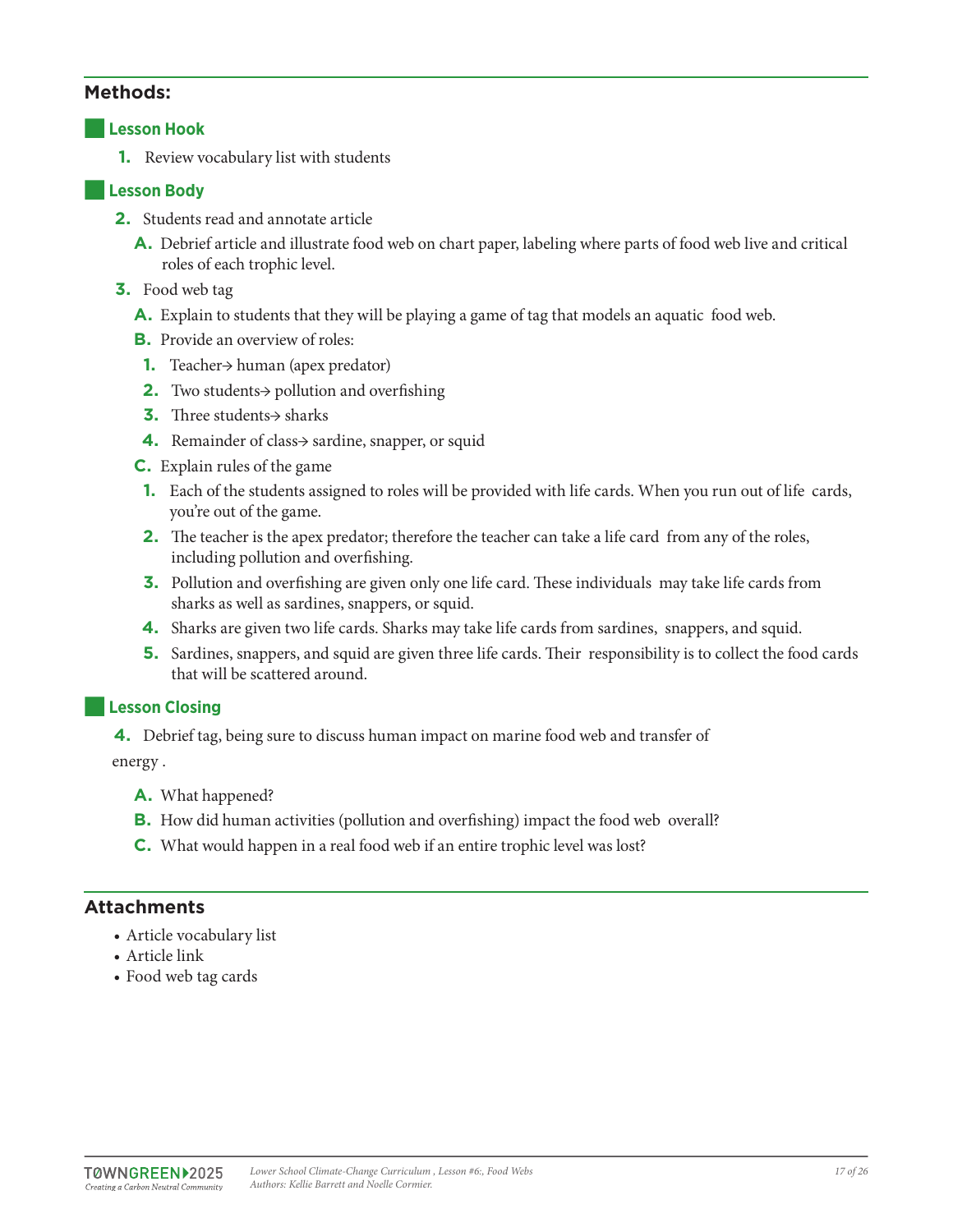#### **Lesson Hook**

**1.** Review vocabulary list with students

#### ■**Lesson Body**

- **2.** Students read and annotate article
	- **A.** Debrief article and illustrate food web on chart paper, labeling where parts of food web live and critical roles of each trophic level.
- **3.** Food web tag
	- **A.** Explain to students that they will be playing a game of tag that models an aquatic food web.
	- **B.** Provide an overview of roles:
	- **1.** Teacher→ human (apex predator)
	- **2.** Two students→ pollution and overfishing
	- **3.** Three students→ sharks
	- **4.** Remainder of class→ sardine, snapper, or squid
	- **C.** Explain rules of the game
	- **1.** Each of the students assigned to roles will be provided with life cards. When you run out of life cards, you're out of the game.
	- **2.** The teacher is the apex predator; therefore the teacher can take a life card from any of the roles, including pollution and overfishing.
	- **3.** Pollution and overfishing are given only one life card. These individuals may take life cards from sharks as well as sardines, snappers, or squid.
	- **4.** Sharks are given two life cards. Sharks may take life cards from sardines, snappers, and squid.
	- **5.** Sardines, snappers, and squid are given three life cards. Their responsibility is to collect the food cards that will be scattered around.

#### **Lesson Closing**

**4.** Debrief tag, being sure to discuss human impact on marine food web and transfer of

energy .

- **A.** What happened?
- **B.** How did human activities (pollution and overfishing) impact the food web overall?
- **C.** What would happen in a real food web if an entire trophic level was lost?

## **Attachments**

- Article vocabulary list
- Article link
- Food web tag cards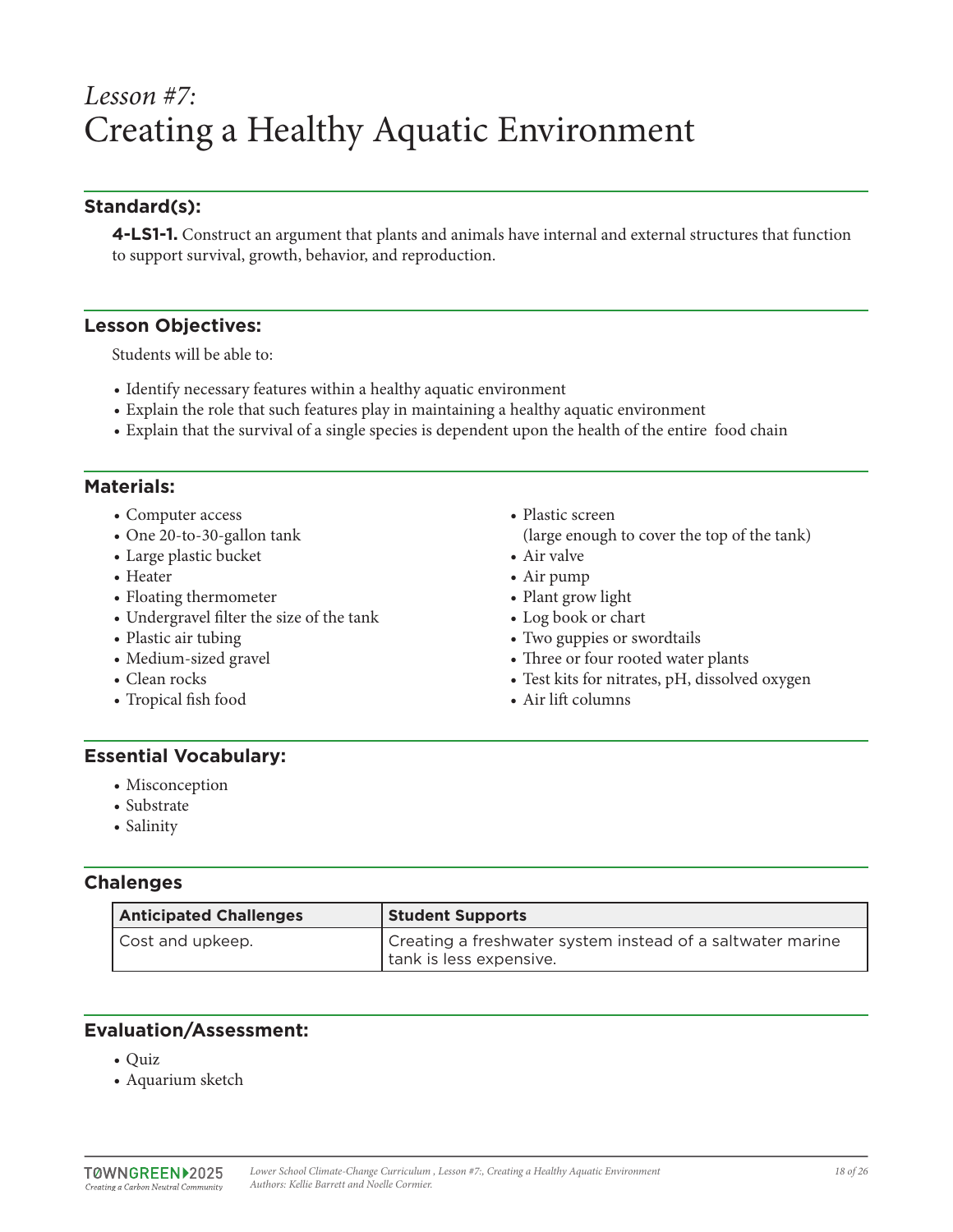## *Lesson #7:* Creating a Healthy Aquatic Environment

## **Standard(s):**

**4-LS1-1.** Construct an argument that plants and animals have internal and external structures that function to support survival, growth, behavior, and reproduction.

#### **Lesson Objectives:**

Students will be able to:

- Identify necessary features within a healthy aquatic environment
- Explain the role that such features play in maintaining a healthy aquatic environment
- Explain that the survival of a single species is dependent upon the health of the entire food chain

#### **Materials:**

- Computer access
- One 20-to-30-gallon tank
- Large plastic bucket
- Heater
- Floating thermometer
- Undergravel filter the size of the tank
- Plastic air tubing
- Medium-sized gravel
- Clean rocks
- Tropical fish food
- Plastic screen
- (large enough to cover the top of the tank)
- Air valve
- Air pump
- Plant grow light
- Log book or chart
- Two guppies or swordtails
- Three or four rooted water plants
- Test kits for nitrates, pH, dissolved oxygen
- Air lift columns

## **Essential Vocabulary:**

- Misconception
- Substrate
- Salinity

## **Chalenges**

| <b>Anticipated Challenges</b> | <b>Student Supports</b>                                                               |
|-------------------------------|---------------------------------------------------------------------------------------|
| Cost and upkeep.              | Creating a freshwater system instead of a saltwater marine<br>tank is less expensive. |

## **Evaluation/Assessment:**

- Quiz
- Aquarium sketch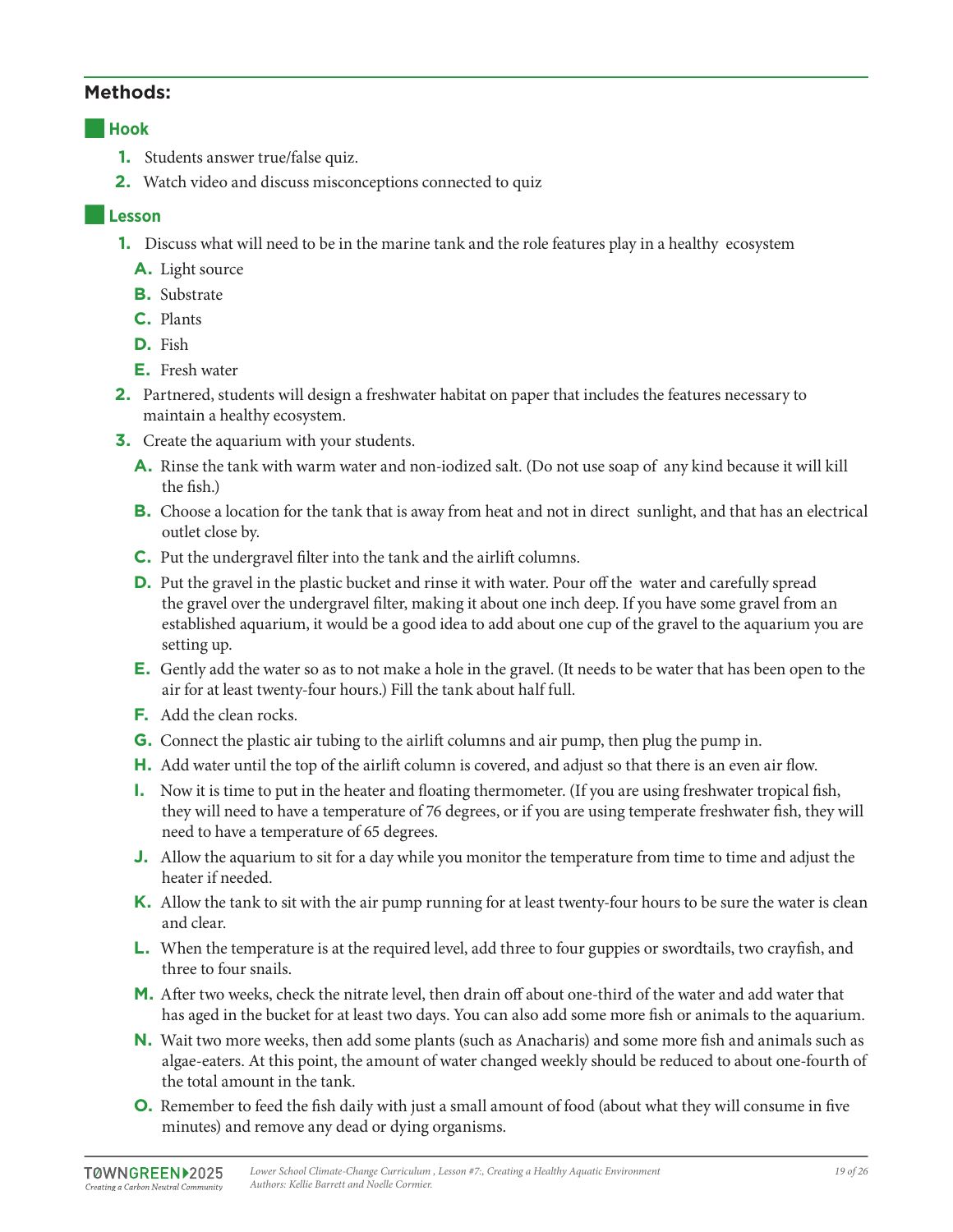#### ■**Hook**

- **1.** Students answer true/false quiz.
- **2.** Watch video and discuss misconceptions connected to quiz

### ■**Lesson**

- **1.** Discuss what will need to be in the marine tank and the role features play in a healthy ecosystem
	- **A.** Light source
	- **B.** Substrate
	- **C.** Plants
	- **D.** Fish
	- **E.** Fresh water
- **2.** Partnered, students will design a freshwater habitat on paper that includes the features necessary to maintain a healthy ecosystem.
- **3.** Create the aquarium with your students.
	- **A.** Rinse the tank with warm water and non-iodized salt. (Do not use soap of any kind because it will kill the fish.)
	- **B.** Choose a location for the tank that is away from heat and not in direct sunlight, and that has an electrical outlet close by.
	- **C.** Put the undergravel filter into the tank and the airlift columns.
	- **D.** Put the gravel in the plastic bucket and rinse it with water. Pour off the water and carefully spread the gravel over the undergravel filter, making it about one inch deep. If you have some gravel from an established aquarium, it would be a good idea to add about one cup of the gravel to the aquarium you are setting up.
	- **E.** Gently add the water so as to not make a hole in the gravel. (It needs to be water that has been open to the air for at least twenty-four hours.) Fill the tank about half full.
	- **F.** Add the clean rocks.
	- **G.** Connect the plastic air tubing to the airlift columns and air pump, then plug the pump in.
	- **H.** Add water until the top of the airlift column is covered, and adjust so that there is an even air flow.
	- **I.** Now it is time to put in the heater and floating thermometer. (If you are using freshwater tropical fish, they will need to have a temperature of 76 degrees, or if you are using temperate freshwater fish, they will need to have a temperature of 65 degrees.
	- **J.** Allow the aquarium to sit for a day while you monitor the temperature from time to time and adjust the heater if needed.
	- **K.** Allow the tank to sit with the air pump running for at least twenty-four hours to be sure the water is clean and clear.
	- **L.** When the temperature is at the required level, add three to four guppies or swordtails, two crayfish, and three to four snails.
	- **M.** After two weeks, check the nitrate level, then drain off about one-third of the water and add water that has aged in the bucket for at least two days. You can also add some more fish or animals to the aquarium.
	- **N.** Wait two more weeks, then add some plants (such as Anacharis) and some more fish and animals such as algae-eaters. At this point, the amount of water changed weekly should be reduced to about one-fourth of the total amount in the tank.
	- **O.** Remember to feed the fish daily with just a small amount of food (about what they will consume in five minutes) and remove any dead or dying organisms.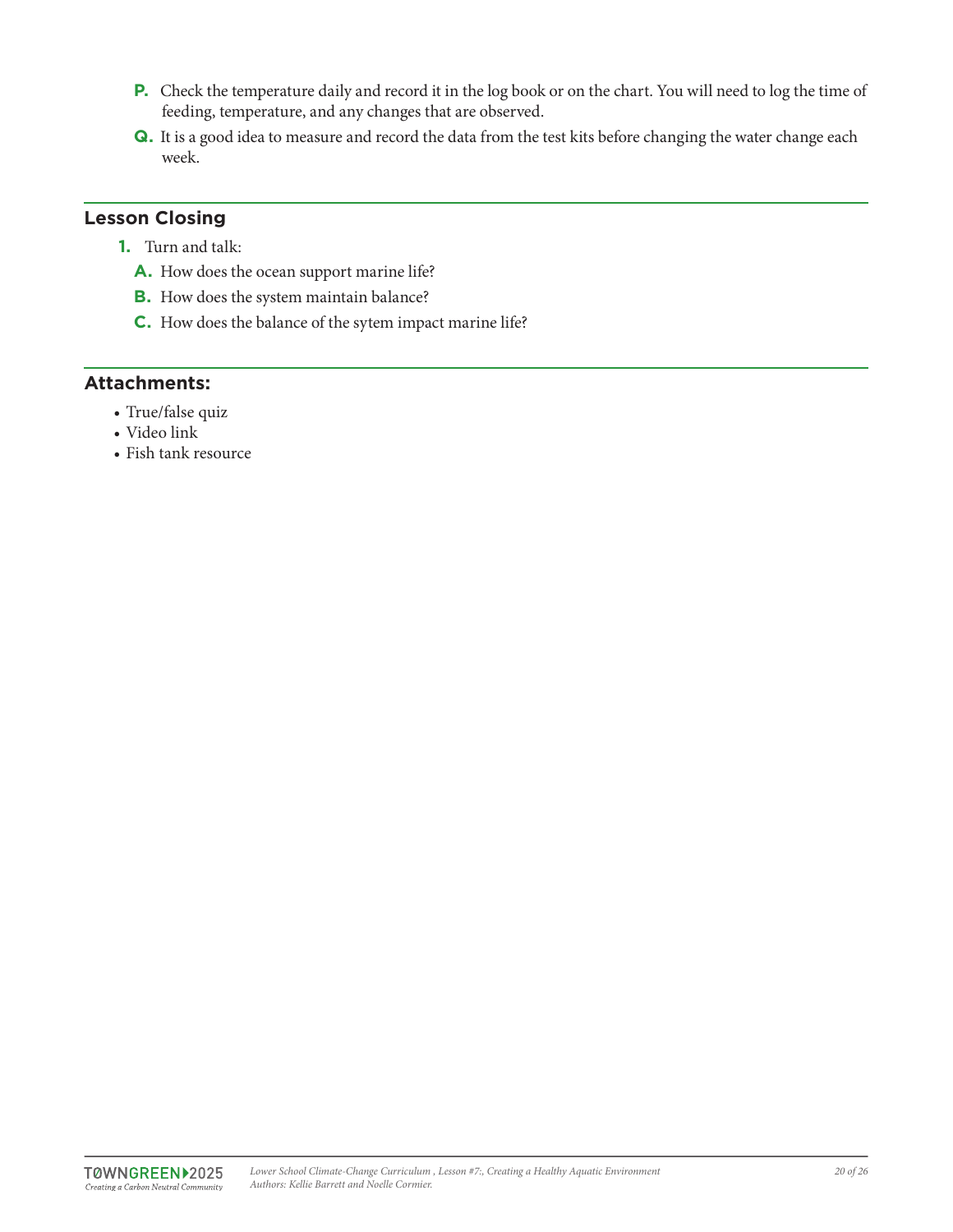- **P.** Check the temperature daily and record it in the log book or on the chart. You will need to log the time of feeding, temperature, and any changes that are observed.
- **Q.** It is a good idea to measure and record the data from the test kits before changing the water change each week.

## **Lesson Closing**

- **1.** Turn and talk:
	- **A.** How does the ocean support marine life?
	- **B.** How does the system maintain balance?
	- **C.** How does the balance of the sytem impact marine life?

## **Attachments:**

- True/false quiz
- Video link
- Fish tank resource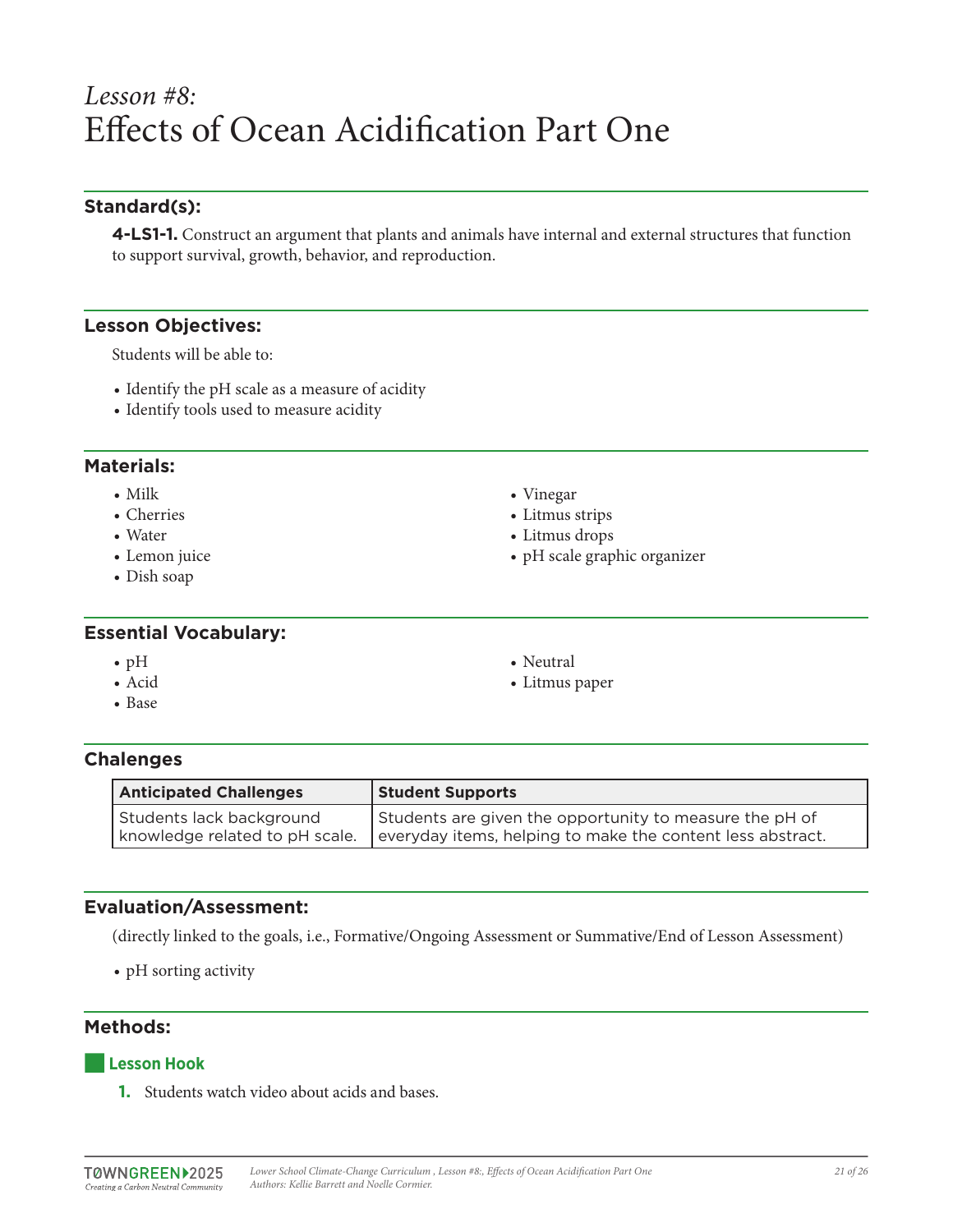## *Lesson #8:* Effects of Ocean Acidification Part One

## **Standard(s):**

**4-LS1-1.** Construct an argument that plants and animals have internal and external structures that function to support survival, growth, behavior, and reproduction.

#### **Lesson Objectives:**

Students will be able to:

- Identify the pH scale as a measure of acidity
- Identify tools used to measure acidity

#### **Materials:**

- Milk
- Cherries
- Water
- Lemon juice
- Dish soap

#### **Essential Vocabulary:**

- pH
- Acid
- Base
- Vinegar
- Litmus strips
- Litmus drops
- pH scale graphic organizer
- 
- Litmus paper

• Neutral

#### **Chalenges**

| <b>Anticipated Challenges</b>  | <b>Student Supports</b>                                    |
|--------------------------------|------------------------------------------------------------|
| Students lack background       | Students are given the opportunity to measure the pH of    |
| knowledge related to pH scale. | everyday items, helping to make the content less abstract. |

## **Evaluation/Assessment:**

(directly linked to the goals, i.e., Formative/Ongoing Assessment or Summative/End of Lesson Assessment)

• pH sorting activity

## **Methods:**

#### ■**Lesson Hook**

**1.** Students watch video about acids and bases.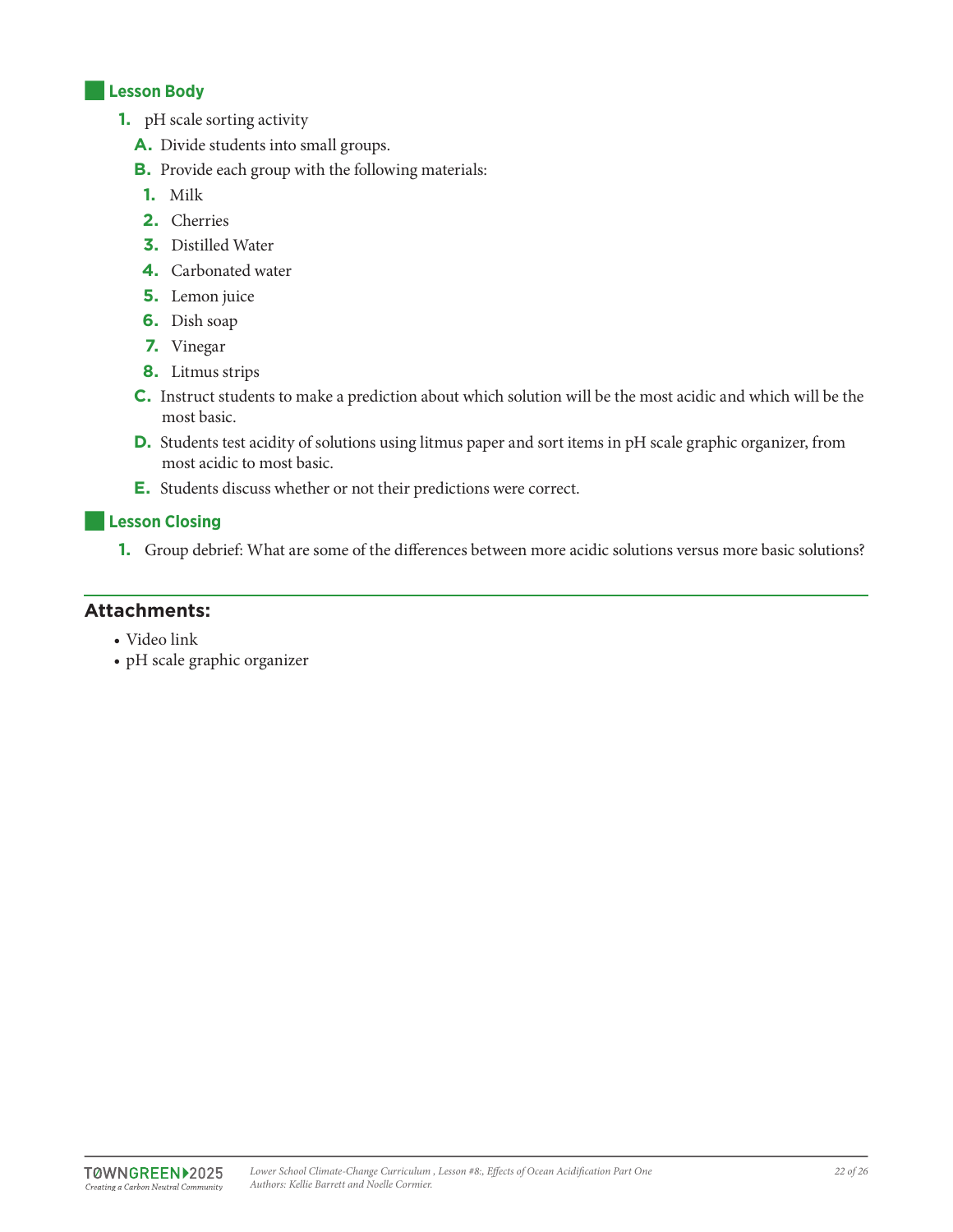#### ■**Lesson Body**

- **1.** pH scale sorting activity
	- **A.** Divide students into small groups.
	- **B.** Provide each group with the following materials:
	- **1.** Milk
	- **2.** Cherries
	- **3.** Distilled Water
	- **4.** Carbonated water
	- **5.** Lemon juice
	- **6.** Dish soap
	- **7.** Vinegar
	- **8.** Litmus strips
	- **C.** Instruct students to make a prediction about which solution will be the most acidic and which will be the most basic.
	- **D.** Students test acidity of solutions using litmus paper and sort items in pH scale graphic organizer, from most acidic to most basic.
	- **E.** Students discuss whether or not their predictions were correct.

#### ■**Lesson Closing**

**1.** Group debrief: What are some of the differences between more acidic solutions versus more basic solutions?

### **Attachments:**

- Video link
- pH scale graphic organizer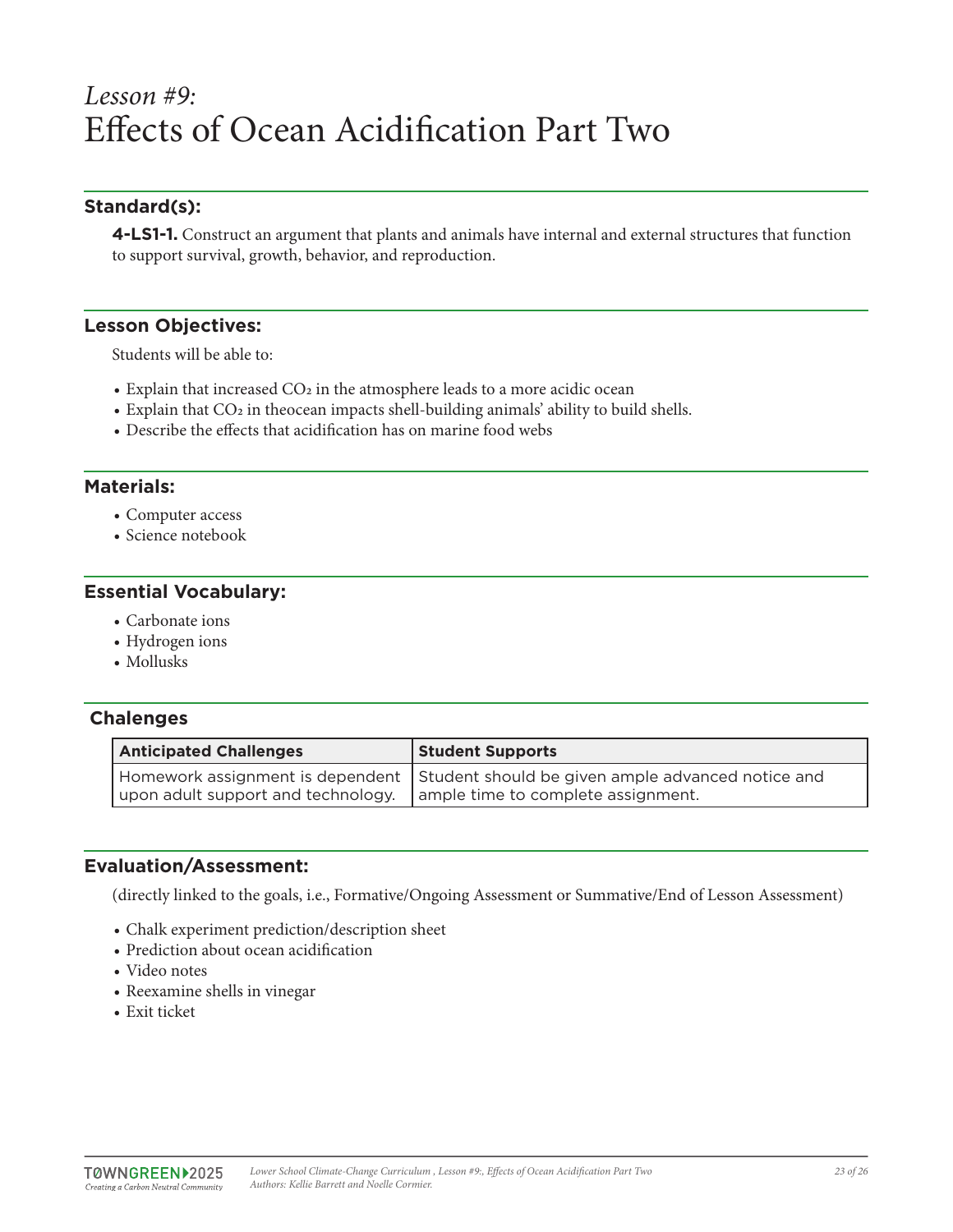## *Lesson #9:* Effects of Ocean Acidification Part Two

## **Standard(s):**

**4-LS1-1.** Construct an argument that plants and animals have internal and external structures that function to support survival, growth, behavior, and reproduction.

#### **Lesson Objectives:**

Students will be able to:

- Explain that increased  $CO<sub>2</sub>$  in the atmosphere leads to a more acidic ocean
- Explain that CO<sub>2</sub> in theocean impacts shell-building animals' ability to build shells.
- Describe the effects that acidification has on marine food webs

#### **Materials:**

- Computer access
- Science notebook

#### **Essential Vocabulary:**

- Carbonate ions
- Hydrogen ions
- Mollusks

#### **Chalenges**

| <b>Anticipated Challenges</b>                                           | <b>Student Supports</b>                                                              |
|-------------------------------------------------------------------------|--------------------------------------------------------------------------------------|
| upon adult support and technology.   ample time to complete assignment. | Homework assignment is dependent   Student should be given ample advanced notice and |

#### **Evaluation/Assessment:**

(directly linked to the goals, i.e., Formative/Ongoing Assessment or Summative/End of Lesson Assessment)

- Chalk experiment prediction/description sheet
- Prediction about ocean acidification
- Video notes
- Reexamine shells in vinegar
- Exit ticket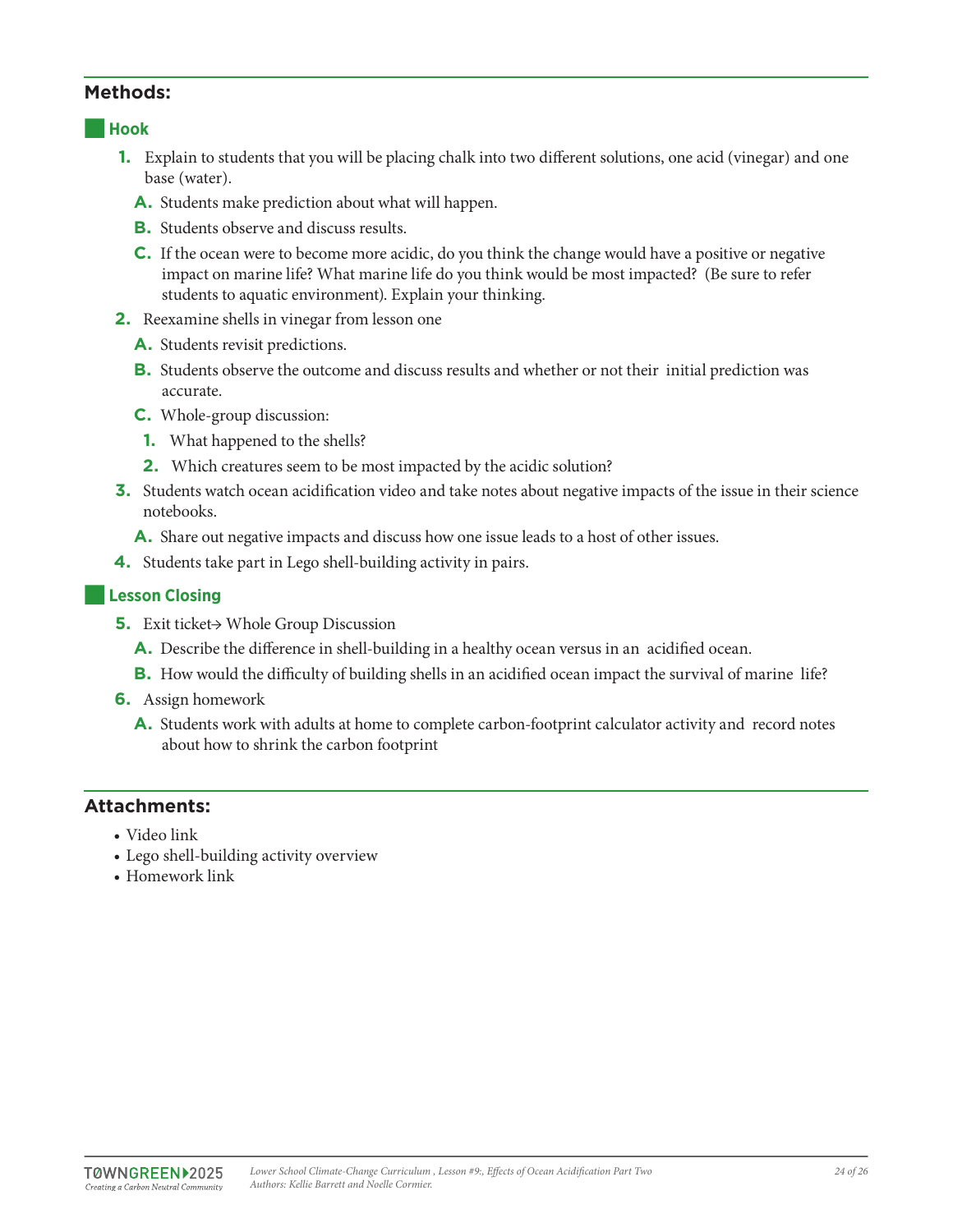#### ■**Hook**

- **1.** Explain to students that you will be placing chalk into two different solutions, one acid (vinegar) and one base (water).
	- **A.** Students make prediction about what will happen.
	- **B.** Students observe and discuss results.
	- **C.** If the ocean were to become more acidic, do you think the change would have a positive or negative impact on marine life? What marine life do you think would be most impacted? (Be sure to refer students to aquatic environment). Explain your thinking.
- **2.** Reexamine shells in vinegar from lesson one
	- **A.** Students revisit predictions.
	- **B.** Students observe the outcome and discuss results and whether or not their initial prediction was accurate.
	- **C.** Whole-group discussion:
	- **1.** What happened to the shells?
	- **2.** Which creatures seem to be most impacted by the acidic solution?
- **3.** Students watch ocean acidification video and take notes about negative impacts of the issue in their science notebooks.
	- **A.** Share out negative impacts and discuss how one issue leads to a host of other issues.
- **4.** Students take part in Lego shell-building activity in pairs.

#### ■**Lesson Closing**

- **5.** Exit ticket→ Whole Group Discussion
	- **A.** Describe the difference in shell-building in a healthy ocean versus in an acidified ocean.
	- **B.** How would the difficulty of building shells in an acidified ocean impact the survival of marine life?
- **6.** Assign homework
	- **A.** Students work with adults at home to complete carbon-footprint calculator activity and record notes about how to shrink the carbon footprint

## **Attachments:**

- Video link
- Lego shell-building activity overview
- Homework link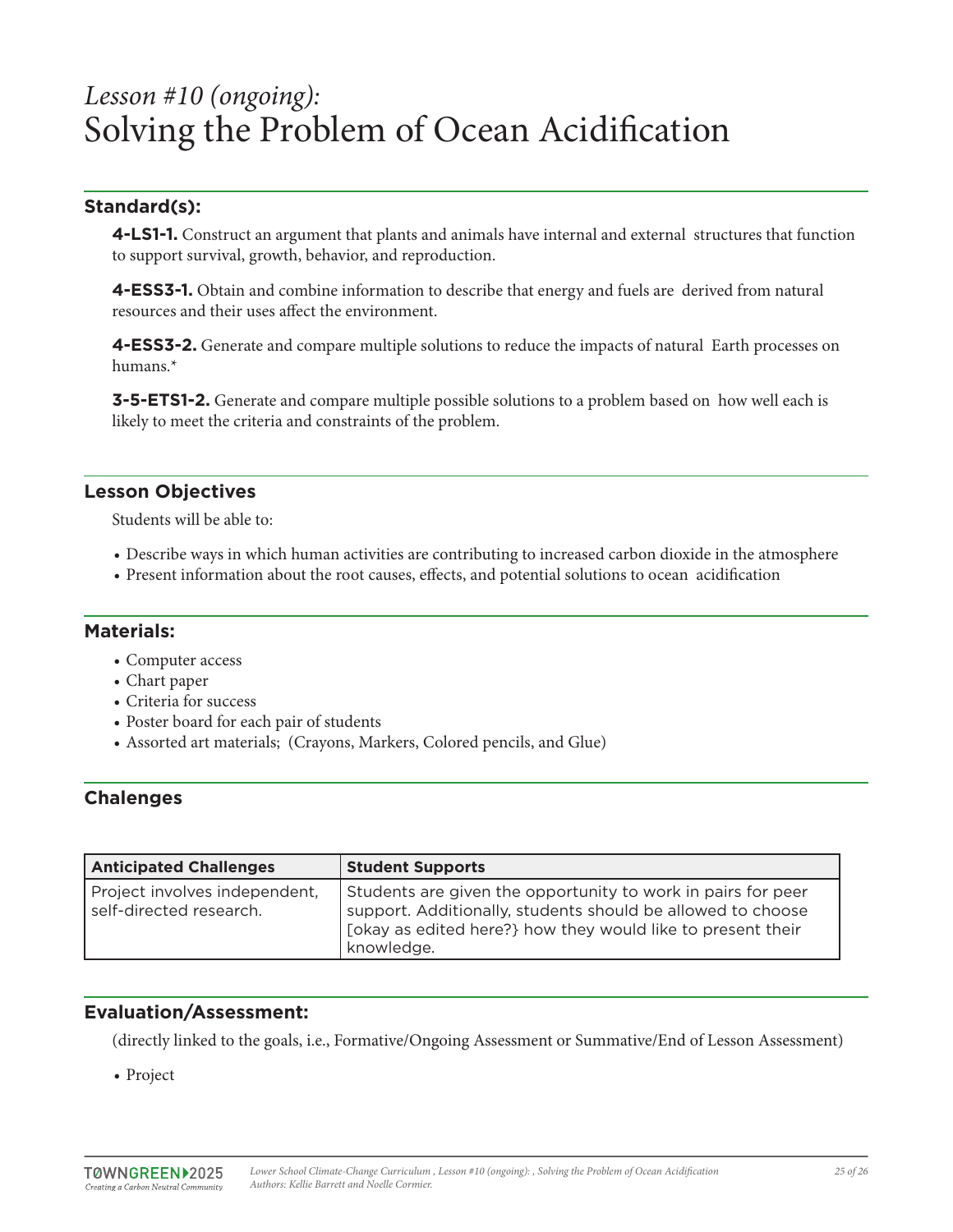## *Lesson #10 (ongoing):*  Solving the Problem of Ocean Acidification

## **Standard(s):**

**4-LS1-1.** Construct an argument that plants and animals have internal and external structures that function to support survival, growth, behavior, and reproduction.

**4-ESS3-1.** Obtain and combine information to describe that energy and fuels are derived from natural resources and their uses affect the environment.

**4-ESS3-2.** Generate and compare multiple solutions to reduce the impacts of natural Earth processes on humans.\*

**3-5-ETS1-2.** Generate and compare multiple possible solutions to a problem based on how well each is likely to meet the criteria and constraints of the problem.

## **Lesson Objectives**

Students will be able to:

- Describe ways in which human activities are contributing to increased carbon dioxide in the atmosphere
- Present information about the root causes, effects, and potential solutions to ocean acidification

#### **Materials:**

- Computer access
- Chart paper
- Criteria for success
- Poster board for each pair of students
- Assorted art materials; (Crayons, Markers, Colored pencils, and Glue)

## **Chalenges**

| <b>Anticipated Challenges</b>                            | <b>Student Supports</b>                                                                                                                                                                                  |
|----------------------------------------------------------|----------------------------------------------------------------------------------------------------------------------------------------------------------------------------------------------------------|
| Project involves independent,<br>self-directed research. | Students are given the opportunity to work in pairs for peer<br>support. Additionally, students should be allowed to choose<br>[okay as edited here?] how they would like to present their<br>knowledge. |

## **Evaluation/Assessment:**

(directly linked to the goals, i.e., Formative/Ongoing Assessment or Summative/End of Lesson Assessment)

• Project